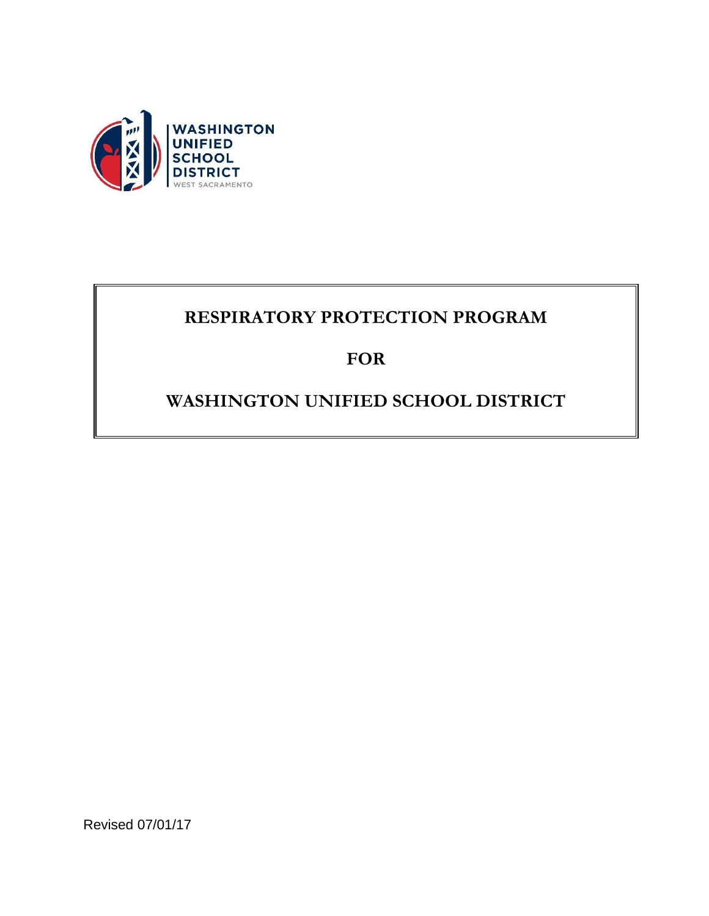

## **RESPIRATORY PROTECTION PROGRAM**

## **FOR**

## **WASHINGTON UNIFIED SCHOOL DISTRICT**

Revised 07/01/17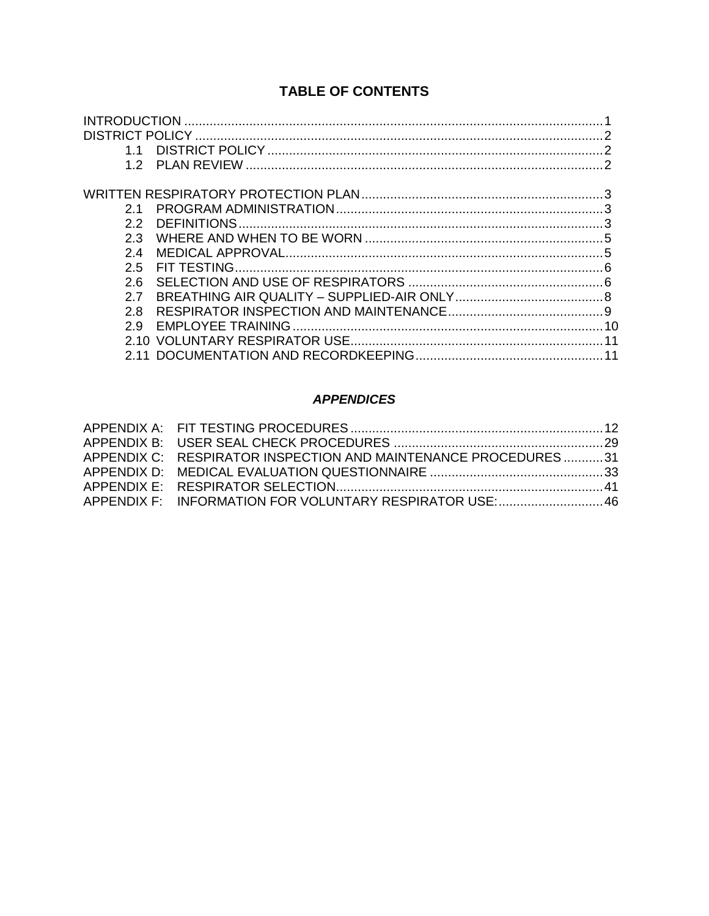## **TABLE OF CONTENTS**

| 21  |  |
|-----|--|
| 2.2 |  |
| 2.3 |  |
| 2.4 |  |
| 2.5 |  |
| 2 6 |  |
| 2.7 |  |
| 2.8 |  |
| 29  |  |
|     |  |
|     |  |

#### **APPENDICES**

| APPENDIX C: RESPIRATOR INSPECTION AND MAINTENANCE PROCEDURES31 |  |
|----------------------------------------------------------------|--|
|                                                                |  |
|                                                                |  |
| APPENDIX F: INFORMATION FOR VOLUNTARY RESPIRATOR USE:46        |  |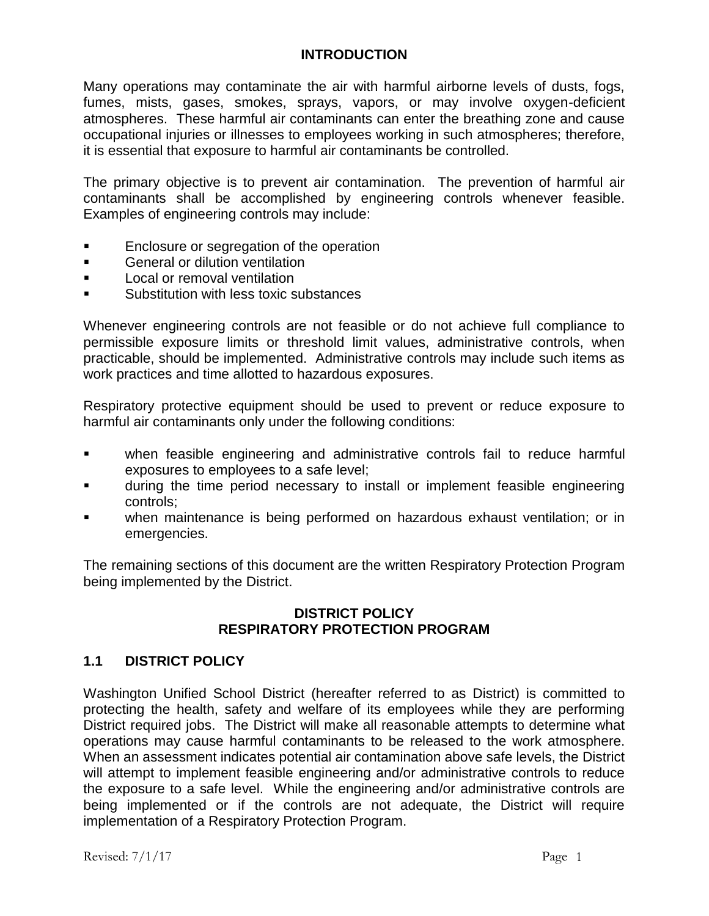### **INTRODUCTION**

Many operations may contaminate the air with harmful airborne levels of dusts, fogs, fumes, mists, gases, smokes, sprays, vapors, or may involve oxygen-deficient atmospheres. These harmful air contaminants can enter the breathing zone and cause occupational injuries or illnesses to employees working in such atmospheres; therefore, it is essential that exposure to harmful air contaminants be controlled.

The primary objective is to prevent air contamination. The prevention of harmful air contaminants shall be accomplished by engineering controls whenever feasible. Examples of engineering controls may include:

- Enclosure or segregation of the operation
- **EXECUTE:** General or dilution ventilation
- **Local or removal ventilation**
- Substitution with less toxic substances

Whenever engineering controls are not feasible or do not achieve full compliance to permissible exposure limits or threshold limit values, administrative controls, when practicable, should be implemented. Administrative controls may include such items as work practices and time allotted to hazardous exposures.

Respiratory protective equipment should be used to prevent or reduce exposure to harmful air contaminants only under the following conditions:

- when feasible engineering and administrative controls fail to reduce harmful exposures to employees to a safe level;
- during the time period necessary to install or implement feasible engineering controls;
- when maintenance is being performed on hazardous exhaust ventilation; or in emergencies.

The remaining sections of this document are the written Respiratory Protection Program being implemented by the District.

### **DISTRICT POLICY RESPIRATORY PROTECTION PROGRAM**

## **1.1 DISTRICT POLICY**

Washington Unified School District (hereafter referred to as District) is committed to protecting the health, safety and welfare of its employees while they are performing District required jobs. The District will make all reasonable attempts to determine what operations may cause harmful contaminants to be released to the work atmosphere. When an assessment indicates potential air contamination above safe levels, the District will attempt to implement feasible engineering and/or administrative controls to reduce the exposure to a safe level. While the engineering and/or administrative controls are being implemented or if the controls are not adequate, the District will require implementation of a Respiratory Protection Program.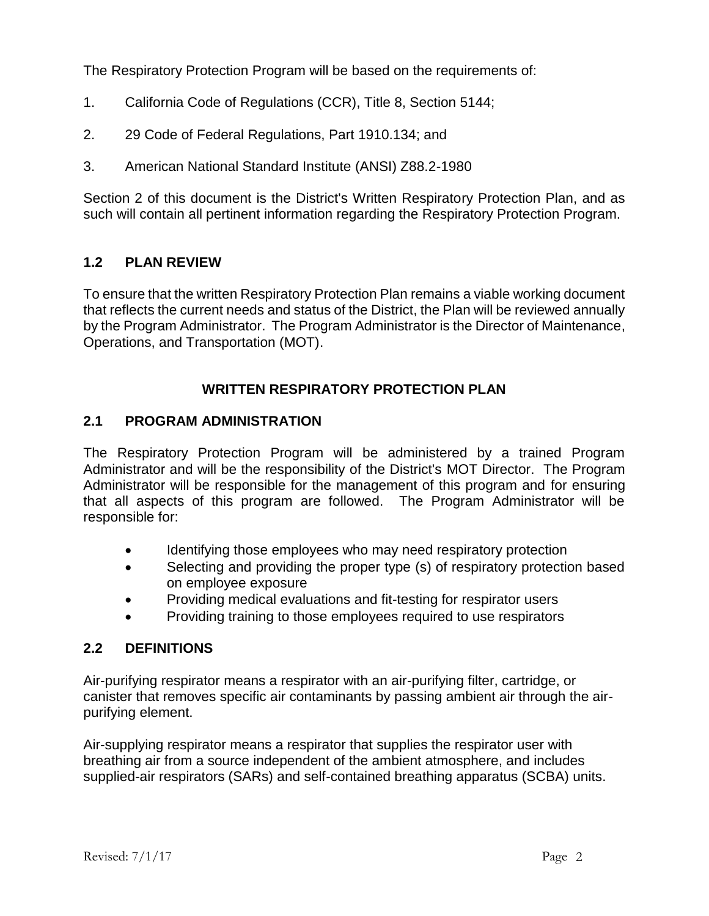The Respiratory Protection Program will be based on the requirements of:

- 1. California Code of Regulations (CCR), Title 8, Section 5144;
- 2. 29 Code of Federal Regulations, Part 1910.134; and
- 3. American National Standard Institute (ANSI) Z88.2-1980

Section 2 of this document is the District's Written Respiratory Protection Plan, and as such will contain all pertinent information regarding the Respiratory Protection Program.

## **1.2 PLAN REVIEW**

To ensure that the written Respiratory Protection Plan remains a viable working document that reflects the current needs and status of the District, the Plan will be reviewed annually by the Program Administrator. The Program Administrator is the Director of Maintenance, Operations, and Transportation (MOT).

## **WRITTEN RESPIRATORY PROTECTION PLAN**

## **2.1 PROGRAM ADMINISTRATION**

The Respiratory Protection Program will be administered by a trained Program Administrator and will be the responsibility of the District's MOT Director. The Program Administrator will be responsible for the management of this program and for ensuring that all aspects of this program are followed. The Program Administrator will be responsible for:

- Identifying those employees who may need respiratory protection
- Selecting and providing the proper type (s) of respiratory protection based on employee exposure
- Providing medical evaluations and fit-testing for respirator users
- Providing training to those employees required to use respirators

## **2.2 DEFINITIONS**

Air-purifying respirator means a respirator with an air-purifying filter, cartridge, or canister that removes specific air contaminants by passing ambient air through the airpurifying element.

Air-supplying respirator means a respirator that supplies the respirator user with breathing air from a source independent of the ambient atmosphere, and includes supplied-air respirators (SARs) and self-contained breathing apparatus (SCBA) units.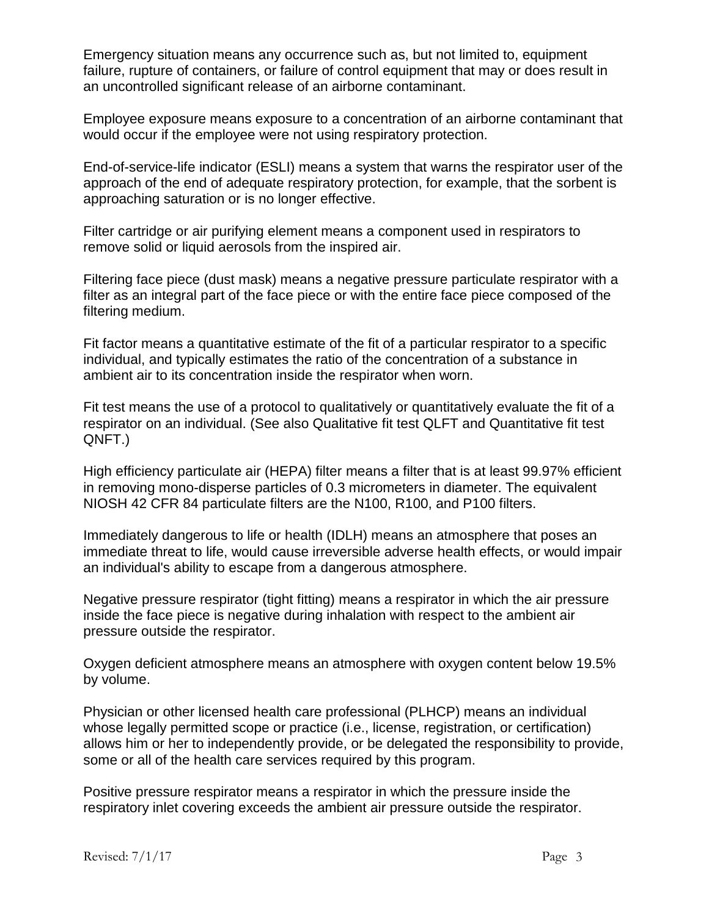Emergency situation means any occurrence such as, but not limited to, equipment failure, rupture of containers, or failure of control equipment that may or does result in an uncontrolled significant release of an airborne contaminant.

Employee exposure means exposure to a concentration of an airborne contaminant that would occur if the employee were not using respiratory protection.

End-of-service-life indicator (ESLI) means a system that warns the respirator user of the approach of the end of adequate respiratory protection, for example, that the sorbent is approaching saturation or is no longer effective.

Filter cartridge or air purifying element means a component used in respirators to remove solid or liquid aerosols from the inspired air.

Filtering face piece (dust mask) means a negative pressure particulate respirator with a filter as an integral part of the face piece or with the entire face piece composed of the filtering medium.

Fit factor means a quantitative estimate of the fit of a particular respirator to a specific individual, and typically estimates the ratio of the concentration of a substance in ambient air to its concentration inside the respirator when worn.

Fit test means the use of a protocol to qualitatively or quantitatively evaluate the fit of a respirator on an individual. (See also Qualitative fit test QLFT and Quantitative fit test QNFT.)

High efficiency particulate air (HEPA) filter means a filter that is at least 99.97% efficient in removing mono-disperse particles of 0.3 micrometers in diameter. The equivalent NIOSH 42 CFR 84 particulate filters are the N100, R100, and P100 filters.

Immediately dangerous to life or health (IDLH) means an atmosphere that poses an immediate threat to life, would cause irreversible adverse health effects, or would impair an individual's ability to escape from a dangerous atmosphere.

Negative pressure respirator (tight fitting) means a respirator in which the air pressure inside the face piece is negative during inhalation with respect to the ambient air pressure outside the respirator.

Oxygen deficient atmosphere means an atmosphere with oxygen content below 19.5% by volume.

Physician or other licensed health care professional (PLHCP) means an individual whose legally permitted scope or practice (i.e., license, registration, or certification) allows him or her to independently provide, or be delegated the responsibility to provide, some or all of the health care services required by this program.

Positive pressure respirator means a respirator in which the pressure inside the respiratory inlet covering exceeds the ambient air pressure outside the respirator.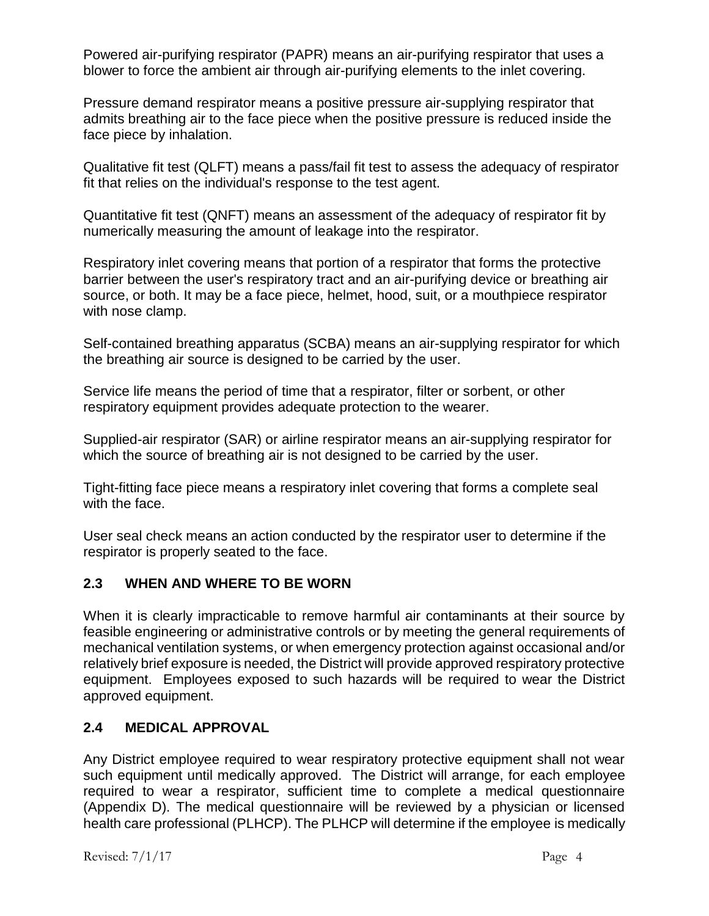Powered air-purifying respirator (PAPR) means an air-purifying respirator that uses a blower to force the ambient air through air-purifying elements to the inlet covering.

Pressure demand respirator means a positive pressure air-supplying respirator that admits breathing air to the face piece when the positive pressure is reduced inside the face piece by inhalation.

Qualitative fit test (QLFT) means a pass/fail fit test to assess the adequacy of respirator fit that relies on the individual's response to the test agent.

Quantitative fit test (QNFT) means an assessment of the adequacy of respirator fit by numerically measuring the amount of leakage into the respirator.

Respiratory inlet covering means that portion of a respirator that forms the protective barrier between the user's respiratory tract and an air-purifying device or breathing air source, or both. It may be a face piece, helmet, hood, suit, or a mouthpiece respirator with nose clamp.

Self-contained breathing apparatus (SCBA) means an air-supplying respirator for which the breathing air source is designed to be carried by the user.

Service life means the period of time that a respirator, filter or sorbent, or other respiratory equipment provides adequate protection to the wearer.

Supplied-air respirator (SAR) or airline respirator means an air-supplying respirator for which the source of breathing air is not designed to be carried by the user.

Tight-fitting face piece means a respiratory inlet covering that forms a complete seal with the face.

User seal check means an action conducted by the respirator user to determine if the respirator is properly seated to the face.

## **2.3 WHEN AND WHERE TO BE WORN**

When it is clearly impracticable to remove harmful air contaminants at their source by feasible engineering or administrative controls or by meeting the general requirements of mechanical ventilation systems, or when emergency protection against occasional and/or relatively brief exposure is needed, the District will provide approved respiratory protective equipment. Employees exposed to such hazards will be required to wear the District approved equipment.

## **2.4 MEDICAL APPROVAL**

Any District employee required to wear respiratory protective equipment shall not wear such equipment until medically approved. The District will arrange, for each employee required to wear a respirator, sufficient time to complete a medical questionnaire (Appendix D). The medical questionnaire will be reviewed by a physician or licensed health care professional (PLHCP). The PLHCP will determine if the employee is medically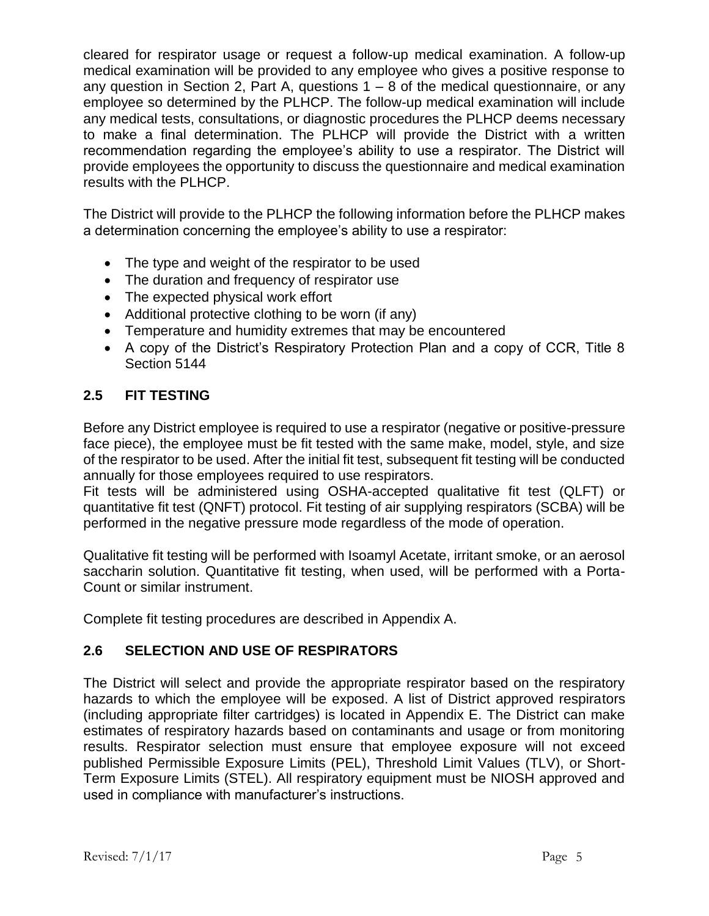cleared for respirator usage or request a follow-up medical examination. A follow-up medical examination will be provided to any employee who gives a positive response to any question in Section 2, Part A, questions  $1 - 8$  of the medical questionnaire, or any employee so determined by the PLHCP. The follow-up medical examination will include any medical tests, consultations, or diagnostic procedures the PLHCP deems necessary to make a final determination. The PLHCP will provide the District with a written recommendation regarding the employee's ability to use a respirator. The District will provide employees the opportunity to discuss the questionnaire and medical examination results with the PLHCP.

The District will provide to the PLHCP the following information before the PLHCP makes a determination concerning the employee's ability to use a respirator:

- The type and weight of the respirator to be used
- The duration and frequency of respirator use
- The expected physical work effort
- Additional protective clothing to be worn (if any)
- Temperature and humidity extremes that may be encountered
- A copy of the District's Respiratory Protection Plan and a copy of CCR, Title 8 Section 5144

## **2.5 FIT TESTING**

Before any District employee is required to use a respirator (negative or positive-pressure face piece), the employee must be fit tested with the same make, model, style, and size of the respirator to be used. After the initial fit test, subsequent fit testing will be conducted annually for those employees required to use respirators.

Fit tests will be administered using OSHA-accepted qualitative fit test (QLFT) or quantitative fit test (QNFT) protocol. Fit testing of air supplying respirators (SCBA) will be performed in the negative pressure mode regardless of the mode of operation.

Qualitative fit testing will be performed with Isoamyl Acetate, irritant smoke, or an aerosol saccharin solution. Quantitative fit testing, when used, will be performed with a Porta-Count or similar instrument.

Complete fit testing procedures are described in Appendix A.

## **2.6 SELECTION AND USE OF RESPIRATORS**

The District will select and provide the appropriate respirator based on the respiratory hazards to which the employee will be exposed. A list of District approved respirators (including appropriate filter cartridges) is located in Appendix E. The District can make estimates of respiratory hazards based on contaminants and usage or from monitoring results. Respirator selection must ensure that employee exposure will not exceed published Permissible Exposure Limits (PEL), Threshold Limit Values (TLV), or Short-Term Exposure Limits (STEL). All respiratory equipment must be NIOSH approved and used in compliance with manufacturer's instructions.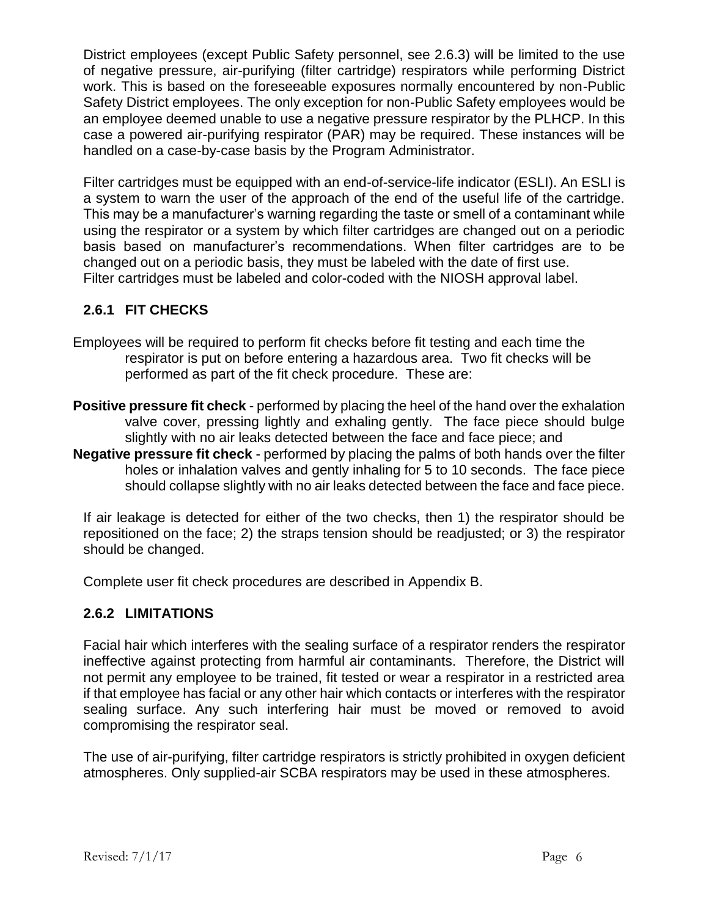District employees (except Public Safety personnel, see 2.6.3) will be limited to the use of negative pressure, air-purifying (filter cartridge) respirators while performing District work. This is based on the foreseeable exposures normally encountered by non-Public Safety District employees. The only exception for non-Public Safety employees would be an employee deemed unable to use a negative pressure respirator by the PLHCP. In this case a powered air-purifying respirator (PAR) may be required. These instances will be handled on a case-by-case basis by the Program Administrator.

Filter cartridges must be equipped with an end-of-service-life indicator (ESLI). An ESLI is a system to warn the user of the approach of the end of the useful life of the cartridge. This may be a manufacturer's warning regarding the taste or smell of a contaminant while using the respirator or a system by which filter cartridges are changed out on a periodic basis based on manufacturer's recommendations. When filter cartridges are to be changed out on a periodic basis, they must be labeled with the date of first use. Filter cartridges must be labeled and color-coded with the NIOSH approval label.

## **2.6.1 FIT CHECKS**

- Employees will be required to perform fit checks before fit testing and each time the respirator is put on before entering a hazardous area. Two fit checks will be performed as part of the fit check procedure. These are:
- **Positive pressure fit check** performed by placing the heel of the hand over the exhalation valve cover, pressing lightly and exhaling gently. The face piece should bulge slightly with no air leaks detected between the face and face piece; and
- **Negative pressure fit check** performed by placing the palms of both hands over the filter holes or inhalation valves and gently inhaling for 5 to 10 seconds. The face piece should collapse slightly with no air leaks detected between the face and face piece.

If air leakage is detected for either of the two checks, then 1) the respirator should be repositioned on the face; 2) the straps tension should be readjusted; or 3) the respirator should be changed.

Complete user fit check procedures are described in Appendix B.

## **2.6.2 LIMITATIONS**

Facial hair which interferes with the sealing surface of a respirator renders the respirator ineffective against protecting from harmful air contaminants. Therefore, the District will not permit any employee to be trained, fit tested or wear a respirator in a restricted area if that employee has facial or any other hair which contacts or interferes with the respirator sealing surface. Any such interfering hair must be moved or removed to avoid compromising the respirator seal.

The use of air-purifying, filter cartridge respirators is strictly prohibited in oxygen deficient atmospheres. Only supplied-air SCBA respirators may be used in these atmospheres.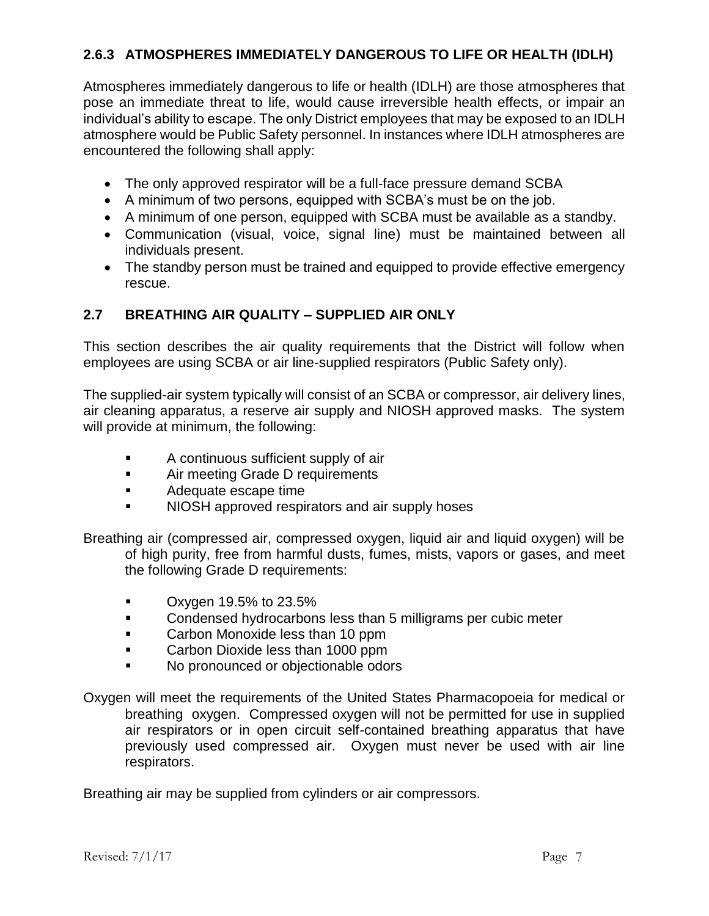## **2.6.3 ATMOSPHERES IMMEDIATELY DANGEROUS TO LIFE OR HEALTH (IDLH)**

Atmospheres immediately dangerous to life or health (IDLH) are those atmospheres that pose an immediate threat to life, would cause irreversible health effects, or impair an individual's ability to escape. The only District employees that may be exposed to an IDLH atmosphere would be Public Safety personnel. In instances where IDLH atmospheres are encountered the following shall apply:

- The only approved respirator will be a full-face pressure demand SCBA
- A minimum of two persons, equipped with SCBA's must be on the job.
- A minimum of one person, equipped with SCBA must be available as a standby.
- Communication (visual, voice, signal line) must be maintained between all individuals present.
- The standby person must be trained and equipped to provide effective emergency rescue.

## **2.7 BREATHING AIR QUALITY – SUPPLIED AIR ONLY**

This section describes the air quality requirements that the District will follow when employees are using SCBA or air line-supplied respirators (Public Safety only).

The supplied-air system typically will consist of an SCBA or compressor, air delivery lines, air cleaning apparatus, a reserve air supply and NIOSH approved masks. The system will provide at minimum, the following:

- **A** continuous sufficient supply of air
- **EXECUTE:** Air meeting Grade D requirements
- **Adequate escape time**
- I NIOSH approved respirators and air supply hoses

Breathing air (compressed air, compressed oxygen, liquid air and liquid oxygen) will be of high purity, free from harmful dusts, fumes, mists, vapors or gases, and meet the following Grade D requirements:

- Oxygen 19.5% to 23.5%
- **EXECONDERGY Condensed hydrocarbons less than 5 milligrams per cubic meter**
- **Carbon Monoxide less than 10 ppm**
- **Carbon Dioxide less than 1000 ppm**
- No pronounced or objectionable odors
- Oxygen will meet the requirements of the United States Pharmacopoeia for medical or breathing oxygen. Compressed oxygen will not be permitted for use in supplied air respirators or in open circuit self-contained breathing apparatus that have previously used compressed air. Oxygen must never be used with air line respirators.

Breathing air may be supplied from cylinders or air compressors.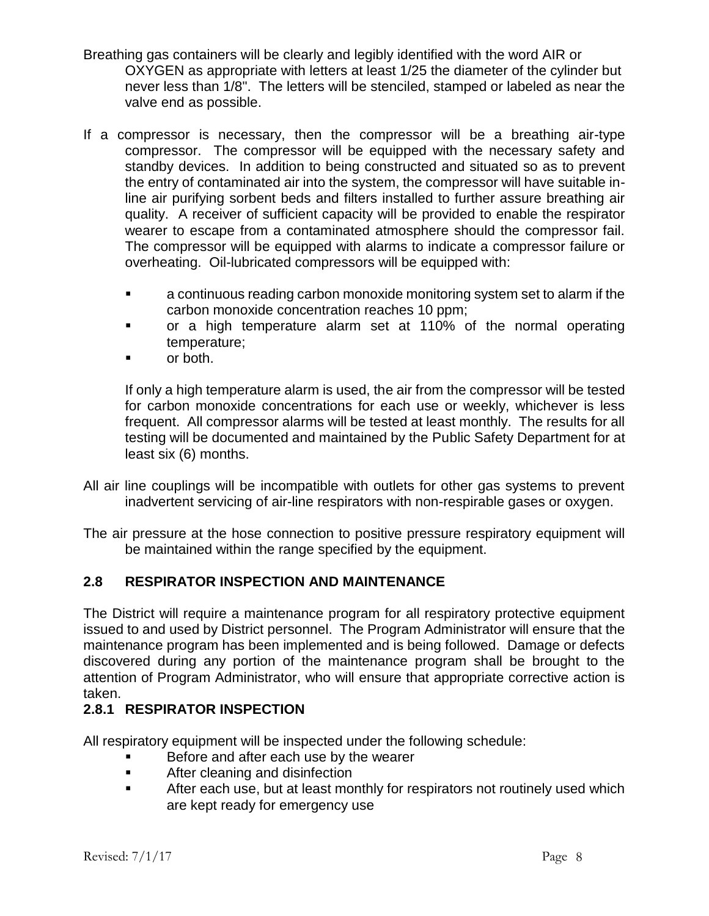- Breathing gas containers will be clearly and legibly identified with the word AIR or OXYGEN as appropriate with letters at least 1/25 the diameter of the cylinder but never less than 1/8". The letters will be stenciled, stamped or labeled as near the valve end as possible.
- If a compressor is necessary, then the compressor will be a breathing air-type compressor. The compressor will be equipped with the necessary safety and standby devices. In addition to being constructed and situated so as to prevent the entry of contaminated air into the system, the compressor will have suitable inline air purifying sorbent beds and filters installed to further assure breathing air quality. A receiver of sufficient capacity will be provided to enable the respirator wearer to escape from a contaminated atmosphere should the compressor fail. The compressor will be equipped with alarms to indicate a compressor failure or overheating. Oil-lubricated compressors will be equipped with:
	- a continuous reading carbon monoxide monitoring system set to alarm if the carbon monoxide concentration reaches 10 ppm;
	- or a high temperature alarm set at 110% of the normal operating temperature;
	- or both.

If only a high temperature alarm is used, the air from the compressor will be tested for carbon monoxide concentrations for each use or weekly, whichever is less frequent. All compressor alarms will be tested at least monthly. The results for all testing will be documented and maintained by the Public Safety Department for at least six (6) months.

- All air line couplings will be incompatible with outlets for other gas systems to prevent inadvertent servicing of air-line respirators with non-respirable gases or oxygen.
- The air pressure at the hose connection to positive pressure respiratory equipment will be maintained within the range specified by the equipment.

## **2.8 RESPIRATOR INSPECTION AND MAINTENANCE**

The District will require a maintenance program for all respiratory protective equipment issued to and used by District personnel. The Program Administrator will ensure that the maintenance program has been implemented and is being followed. Damage or defects discovered during any portion of the maintenance program shall be brought to the attention of Program Administrator, who will ensure that appropriate corrective action is taken.

## **2.8.1 RESPIRATOR INSPECTION**

All respiratory equipment will be inspected under the following schedule:

- **Before and after each use by the wearer**
- **EXECUTE:** After cleaning and disinfection
- **EXECT** After each use, but at least monthly for respirators not routinely used which are kept ready for emergency use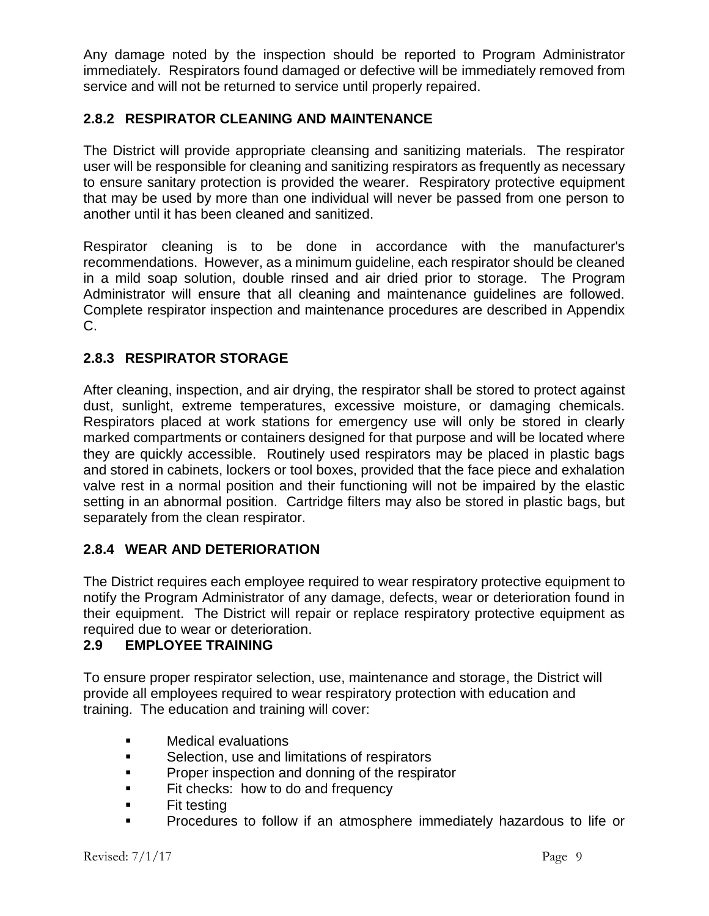Any damage noted by the inspection should be reported to Program Administrator immediately. Respirators found damaged or defective will be immediately removed from service and will not be returned to service until properly repaired.

## **2.8.2 RESPIRATOR CLEANING AND MAINTENANCE**

The District will provide appropriate cleansing and sanitizing materials. The respirator user will be responsible for cleaning and sanitizing respirators as frequently as necessary to ensure sanitary protection is provided the wearer. Respiratory protective equipment that may be used by more than one individual will never be passed from one person to another until it has been cleaned and sanitized.

Respirator cleaning is to be done in accordance with the manufacturer's recommendations. However, as a minimum guideline, each respirator should be cleaned in a mild soap solution, double rinsed and air dried prior to storage. The Program Administrator will ensure that all cleaning and maintenance guidelines are followed. Complete respirator inspection and maintenance procedures are described in Appendix C.

## **2.8.3 RESPIRATOR STORAGE**

After cleaning, inspection, and air drying, the respirator shall be stored to protect against dust, sunlight, extreme temperatures, excessive moisture, or damaging chemicals. Respirators placed at work stations for emergency use will only be stored in clearly marked compartments or containers designed for that purpose and will be located where they are quickly accessible. Routinely used respirators may be placed in plastic bags and stored in cabinets, lockers or tool boxes, provided that the face piece and exhalation valve rest in a normal position and their functioning will not be impaired by the elastic setting in an abnormal position. Cartridge filters may also be stored in plastic bags, but separately from the clean respirator.

## **2.8.4 WEAR AND DETERIORATION**

The District requires each employee required to wear respiratory protective equipment to notify the Program Administrator of any damage, defects, wear or deterioration found in their equipment. The District will repair or replace respiratory protective equipment as required due to wear or deterioration.

### **2.9 EMPLOYEE TRAINING**

To ensure proper respirator selection, use, maintenance and storage, the District will provide all employees required to wear respiratory protection with education and training. The education and training will cover:

- **EXECUTE:** Medical evaluations
- **Selection, use and limitations of respirators**
- **Proper inspection and donning of the respirator**
- **Fit checks: how to do and frequency**
- $\blacksquare$  Fit testing
- Procedures to follow if an atmosphere immediately hazardous to life or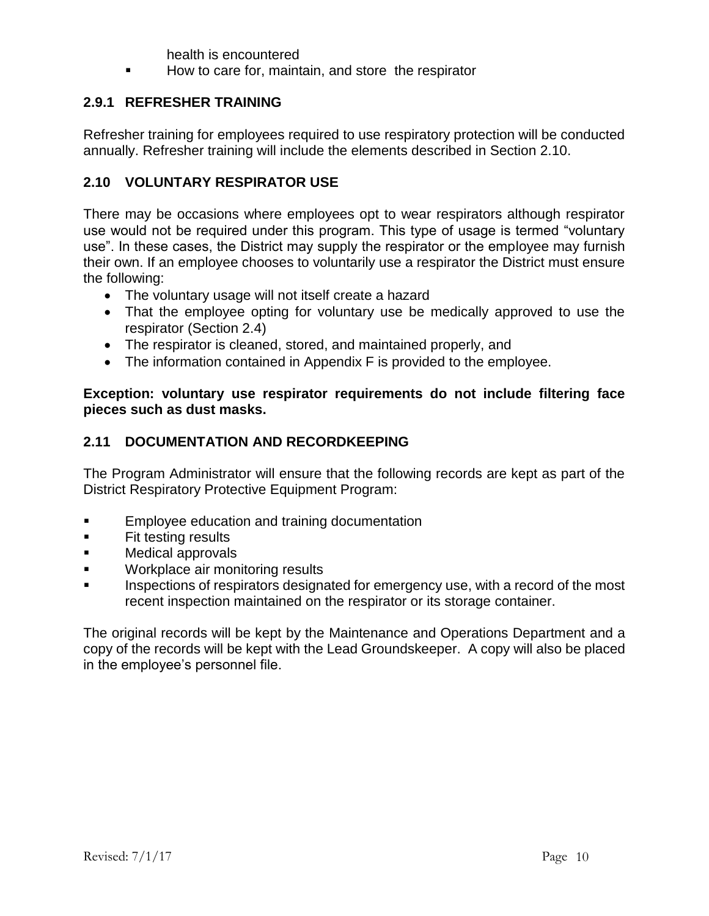health is encountered

How to care for, maintain, and store the respirator

## **2.9.1 REFRESHER TRAINING**

Refresher training for employees required to use respiratory protection will be conducted annually. Refresher training will include the elements described in Section 2.10.

## **2.10 VOLUNTARY RESPIRATOR USE**

There may be occasions where employees opt to wear respirators although respirator use would not be required under this program. This type of usage is termed "voluntary use". In these cases, the District may supply the respirator or the employee may furnish their own. If an employee chooses to voluntarily use a respirator the District must ensure the following:

- The voluntary usage will not itself create a hazard
- That the employee opting for voluntary use be medically approved to use the respirator (Section 2.4)
- The respirator is cleaned, stored, and maintained properly, and
- The information contained in Appendix F is provided to the employee.

**Exception: voluntary use respirator requirements do not include filtering face pieces such as dust masks.**

## **2.11 DOCUMENTATION AND RECORDKEEPING**

The Program Administrator will ensure that the following records are kept as part of the District Respiratory Protective Equipment Program:

- **Employee education and training documentation**
- **Fit testing results**
- **Medical approvals**
- **Workplace air monitoring results**
- Inspections of respirators designated for emergency use, with a record of the most recent inspection maintained on the respirator or its storage container.

The original records will be kept by the Maintenance and Operations Department and a copy of the records will be kept with the Lead Groundskeeper. A copy will also be placed in the employee's personnel file.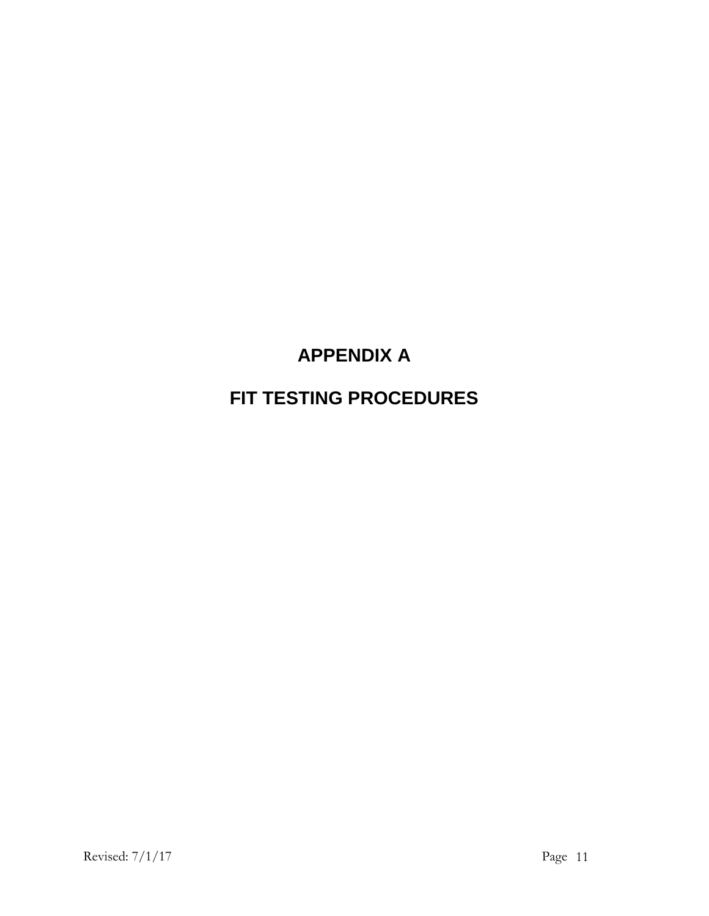# **APPENDIX A**

# **FIT TESTING PROCEDURES**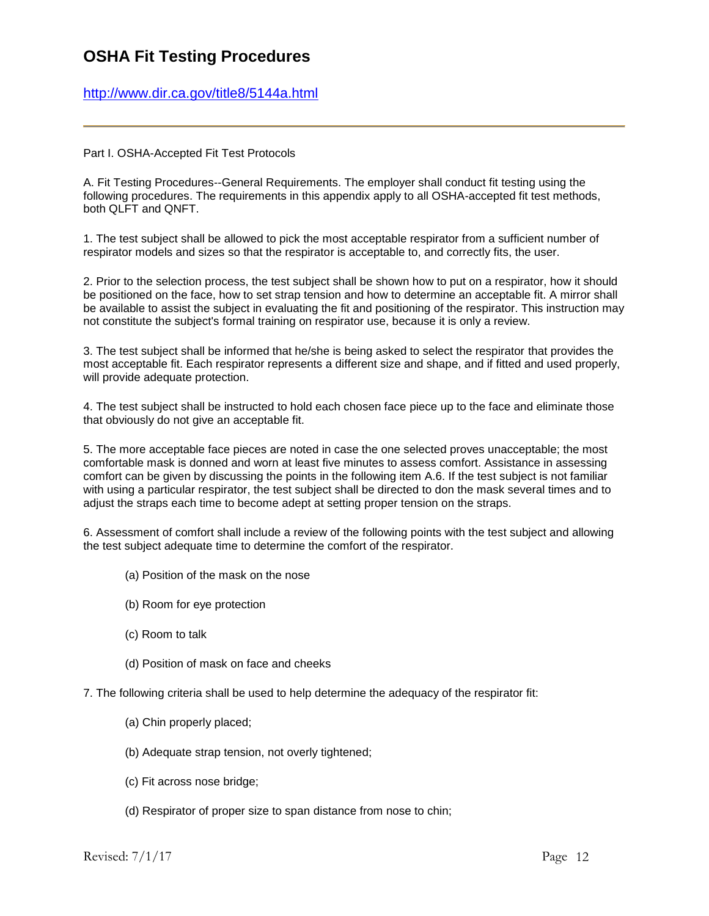## **OSHA Fit Testing Procedures**

<http://www.dir.ca.gov/title8/5144a.html>

Part I. OSHA-Accepted Fit Test Protocols

A. Fit Testing Procedures--General Requirements. The employer shall conduct fit testing using the following procedures. The requirements in this appendix apply to all OSHA-accepted fit test methods, both QLFT and QNFT.

1. The test subject shall be allowed to pick the most acceptable respirator from a sufficient number of respirator models and sizes so that the respirator is acceptable to, and correctly fits, the user.

2. Prior to the selection process, the test subject shall be shown how to put on a respirator, how it should be positioned on the face, how to set strap tension and how to determine an acceptable fit. A mirror shall be available to assist the subject in evaluating the fit and positioning of the respirator. This instruction may not constitute the subject's formal training on respirator use, because it is only a review.

3. The test subject shall be informed that he/she is being asked to select the respirator that provides the most acceptable fit. Each respirator represents a different size and shape, and if fitted and used properly, will provide adequate protection.

4. The test subject shall be instructed to hold each chosen face piece up to the face and eliminate those that obviously do not give an acceptable fit.

5. The more acceptable face pieces are noted in case the one selected proves unacceptable; the most comfortable mask is donned and worn at least five minutes to assess comfort. Assistance in assessing comfort can be given by discussing the points in the following item A.6. If the test subject is not familiar with using a particular respirator, the test subject shall be directed to don the mask several times and to adjust the straps each time to become adept at setting proper tension on the straps.

6. Assessment of comfort shall include a review of the following points with the test subject and allowing the test subject adequate time to determine the comfort of the respirator.

- (a) Position of the mask on the nose
- (b) Room for eye protection
- (c) Room to talk
- (d) Position of mask on face and cheeks

7. The following criteria shall be used to help determine the adequacy of the respirator fit:

- (a) Chin properly placed;
- (b) Adequate strap tension, not overly tightened;
- (c) Fit across nose bridge;
- (d) Respirator of proper size to span distance from nose to chin;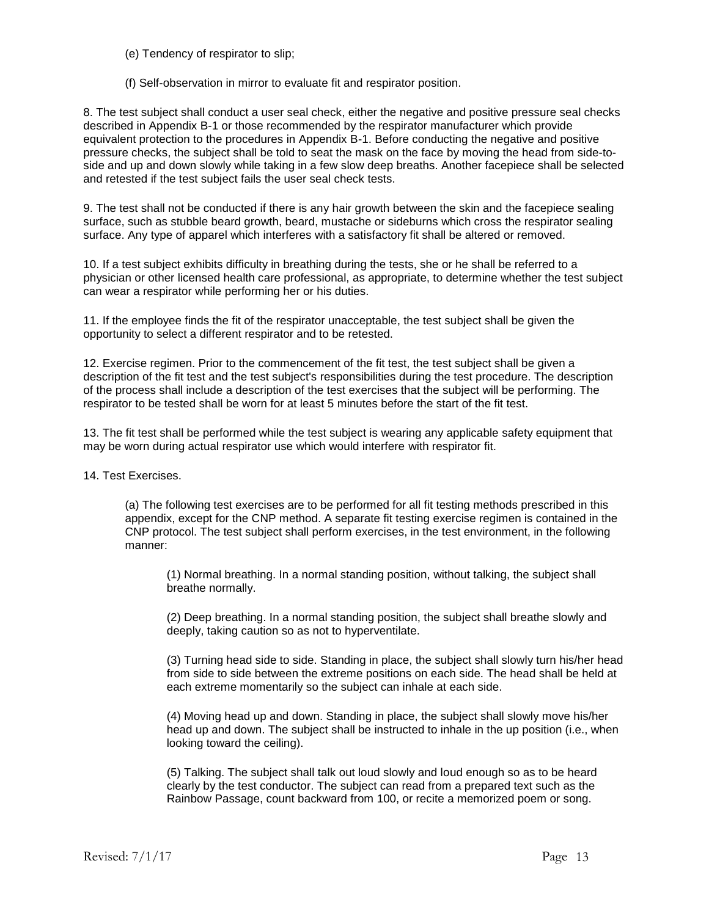(e) Tendency of respirator to slip;

(f) Self-observation in mirror to evaluate fit and respirator position.

8. The test subject shall conduct a user seal check, either the negative and positive pressure seal checks described in Appendix B-1 or those recommended by the respirator manufacturer which provide equivalent protection to the procedures in Appendix B-1. Before conducting the negative and positive pressure checks, the subject shall be told to seat the mask on the face by moving the head from side-toside and up and down slowly while taking in a few slow deep breaths. Another facepiece shall be selected and retested if the test subject fails the user seal check tests.

9. The test shall not be conducted if there is any hair growth between the skin and the facepiece sealing surface, such as stubble beard growth, beard, mustache or sideburns which cross the respirator sealing surface. Any type of apparel which interferes with a satisfactory fit shall be altered or removed.

10. If a test subject exhibits difficulty in breathing during the tests, she or he shall be referred to a physician or other licensed health care professional, as appropriate, to determine whether the test subject can wear a respirator while performing her or his duties.

11. If the employee finds the fit of the respirator unacceptable, the test subject shall be given the opportunity to select a different respirator and to be retested.

12. Exercise regimen. Prior to the commencement of the fit test, the test subject shall be given a description of the fit test and the test subject's responsibilities during the test procedure. The description of the process shall include a description of the test exercises that the subject will be performing. The respirator to be tested shall be worn for at least 5 minutes before the start of the fit test.

13. The fit test shall be performed while the test subject is wearing any applicable safety equipment that may be worn during actual respirator use which would interfere with respirator fit.

14. Test Exercises.

(a) The following test exercises are to be performed for all fit testing methods prescribed in this appendix, except for the CNP method. A separate fit testing exercise regimen is contained in the CNP protocol. The test subject shall perform exercises, in the test environment, in the following manner:

(1) Normal breathing. In a normal standing position, without talking, the subject shall breathe normally.

(2) Deep breathing. In a normal standing position, the subject shall breathe slowly and deeply, taking caution so as not to hyperventilate.

(3) Turning head side to side. Standing in place, the subject shall slowly turn his/her head from side to side between the extreme positions on each side. The head shall be held at each extreme momentarily so the subject can inhale at each side.

(4) Moving head up and down. Standing in place, the subject shall slowly move his/her head up and down. The subject shall be instructed to inhale in the up position (i.e., when looking toward the ceiling).

(5) Talking. The subject shall talk out loud slowly and loud enough so as to be heard clearly by the test conductor. The subject can read from a prepared text such as the Rainbow Passage, count backward from 100, or recite a memorized poem or song.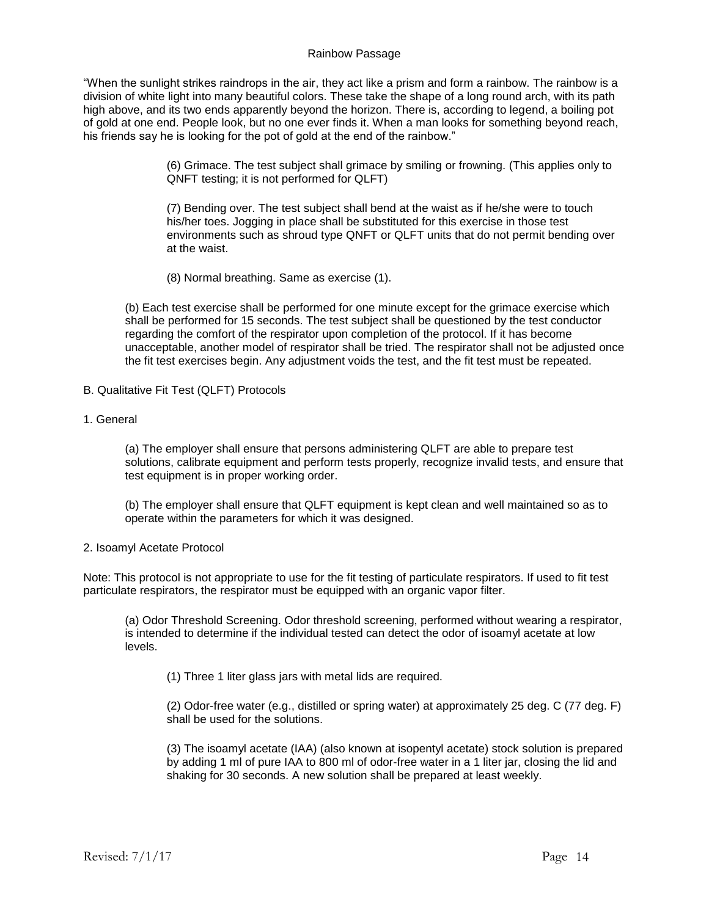#### Rainbow Passage

"When the sunlight strikes raindrops in the air, they act like a prism and form a rainbow. The rainbow is a division of white light into many beautiful colors. These take the shape of a long round arch, with its path high above, and its two ends apparently beyond the horizon. There is, according to legend, a boiling pot of gold at one end. People look, but no one ever finds it. When a man looks for something beyond reach, his friends say he is looking for the pot of gold at the end of the rainbow."

> (6) Grimace. The test subject shall grimace by smiling or frowning. (This applies only to QNFT testing; it is not performed for QLFT)

> (7) Bending over. The test subject shall bend at the waist as if he/she were to touch his/her toes. Jogging in place shall be substituted for this exercise in those test environments such as shroud type QNFT or QLFT units that do not permit bending over at the waist.

(8) Normal breathing. Same as exercise (1).

(b) Each test exercise shall be performed for one minute except for the grimace exercise which shall be performed for 15 seconds. The test subject shall be questioned by the test conductor regarding the comfort of the respirator upon completion of the protocol. If it has become unacceptable, another model of respirator shall be tried. The respirator shall not be adjusted once the fit test exercises begin. Any adjustment voids the test, and the fit test must be repeated.

- B. Qualitative Fit Test (QLFT) Protocols
- 1. General

(a) The employer shall ensure that persons administering QLFT are able to prepare test solutions, calibrate equipment and perform tests properly, recognize invalid tests, and ensure that test equipment is in proper working order.

(b) The employer shall ensure that QLFT equipment is kept clean and well maintained so as to operate within the parameters for which it was designed.

#### 2. Isoamyl Acetate Protocol

Note: This protocol is not appropriate to use for the fit testing of particulate respirators. If used to fit test particulate respirators, the respirator must be equipped with an organic vapor filter.

(a) Odor Threshold Screening. Odor threshold screening, performed without wearing a respirator, is intended to determine if the individual tested can detect the odor of isoamyl acetate at low levels.

(1) Three 1 liter glass jars with metal lids are required.

(2) Odor-free water (e.g., distilled or spring water) at approximately 25 deg. C (77 deg. F) shall be used for the solutions.

(3) The isoamyl acetate (IAA) (also known at isopentyl acetate) stock solution is prepared by adding 1 ml of pure IAA to 800 ml of odor-free water in a 1 liter jar, closing the lid and shaking for 30 seconds. A new solution shall be prepared at least weekly.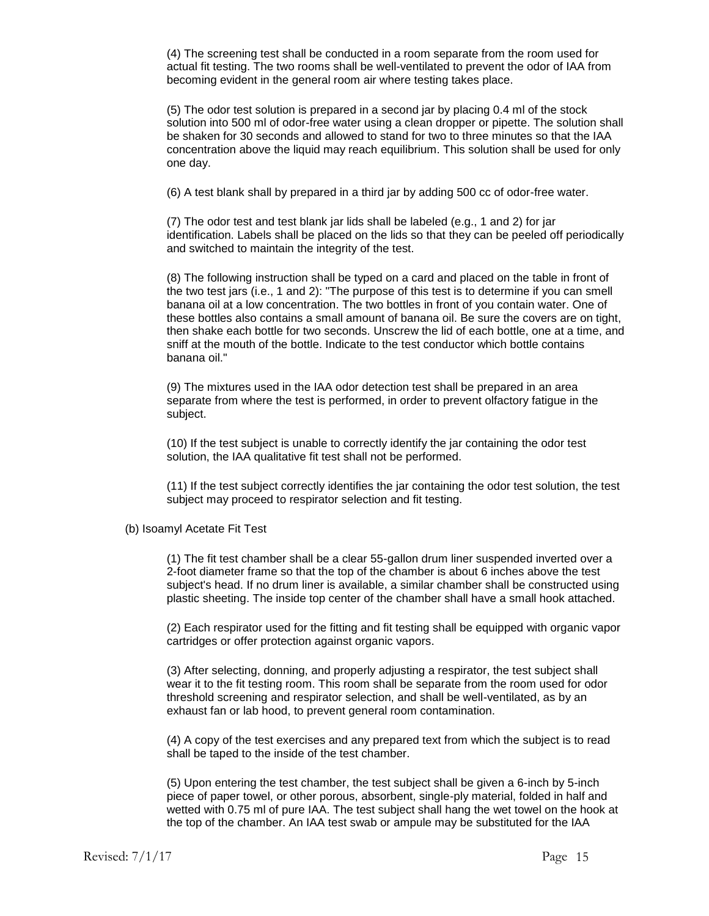(4) The screening test shall be conducted in a room separate from the room used for actual fit testing. The two rooms shall be well-ventilated to prevent the odor of IAA from becoming evident in the general room air where testing takes place.

(5) The odor test solution is prepared in a second jar by placing 0.4 ml of the stock solution into 500 ml of odor-free water using a clean dropper or pipette. The solution shall be shaken for 30 seconds and allowed to stand for two to three minutes so that the IAA concentration above the liquid may reach equilibrium. This solution shall be used for only one day.

(6) A test blank shall by prepared in a third jar by adding 500 cc of odor-free water.

(7) The odor test and test blank jar lids shall be labeled (e.g., 1 and 2) for jar identification. Labels shall be placed on the lids so that they can be peeled off periodically and switched to maintain the integrity of the test.

(8) The following instruction shall be typed on a card and placed on the table in front of the two test jars (i.e., 1 and 2): "The purpose of this test is to determine if you can smell banana oil at a low concentration. The two bottles in front of you contain water. One of these bottles also contains a small amount of banana oil. Be sure the covers are on tight, then shake each bottle for two seconds. Unscrew the lid of each bottle, one at a time, and sniff at the mouth of the bottle. Indicate to the test conductor which bottle contains banana oil."

(9) The mixtures used in the IAA odor detection test shall be prepared in an area separate from where the test is performed, in order to prevent olfactory fatigue in the subject.

(10) If the test subject is unable to correctly identify the jar containing the odor test solution, the IAA qualitative fit test shall not be performed.

(11) If the test subject correctly identifies the jar containing the odor test solution, the test subject may proceed to respirator selection and fit testing.

(b) Isoamyl Acetate Fit Test

(1) The fit test chamber shall be a clear 55-gallon drum liner suspended inverted over a 2-foot diameter frame so that the top of the chamber is about 6 inches above the test subject's head. If no drum liner is available, a similar chamber shall be constructed using plastic sheeting. The inside top center of the chamber shall have a small hook attached.

(2) Each respirator used for the fitting and fit testing shall be equipped with organic vapor cartridges or offer protection against organic vapors.

(3) After selecting, donning, and properly adjusting a respirator, the test subject shall wear it to the fit testing room. This room shall be separate from the room used for odor threshold screening and respirator selection, and shall be well-ventilated, as by an exhaust fan or lab hood, to prevent general room contamination.

(4) A copy of the test exercises and any prepared text from which the subject is to read shall be taped to the inside of the test chamber.

(5) Upon entering the test chamber, the test subject shall be given a 6-inch by 5-inch piece of paper towel, or other porous, absorbent, single-ply material, folded in half and wetted with 0.75 ml of pure IAA. The test subject shall hang the wet towel on the hook at the top of the chamber. An IAA test swab or ampule may be substituted for the IAA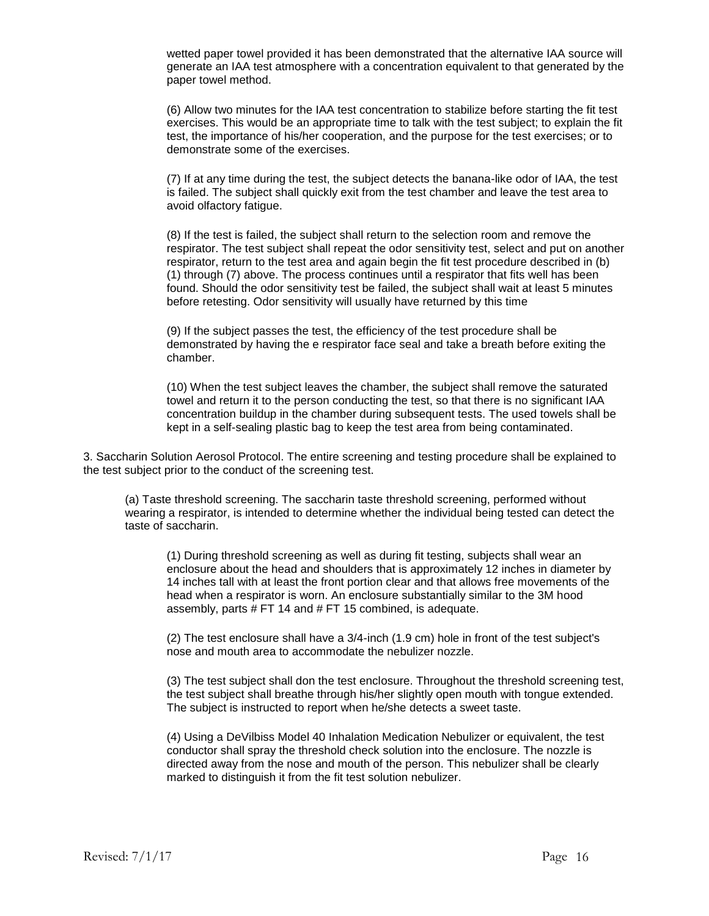wetted paper towel provided it has been demonstrated that the alternative IAA source will generate an IAA test atmosphere with a concentration equivalent to that generated by the paper towel method.

(6) Allow two minutes for the IAA test concentration to stabilize before starting the fit test exercises. This would be an appropriate time to talk with the test subject; to explain the fit test, the importance of his/her cooperation, and the purpose for the test exercises; or to demonstrate some of the exercises.

(7) If at any time during the test, the subject detects the banana-like odor of IAA, the test is failed. The subject shall quickly exit from the test chamber and leave the test area to avoid olfactory fatigue.

(8) If the test is failed, the subject shall return to the selection room and remove the respirator. The test subject shall repeat the odor sensitivity test, select and put on another respirator, return to the test area and again begin the fit test procedure described in (b) (1) through (7) above. The process continues until a respirator that fits well has been found. Should the odor sensitivity test be failed, the subject shall wait at least 5 minutes before retesting. Odor sensitivity will usually have returned by this time

(9) If the subject passes the test, the efficiency of the test procedure shall be demonstrated by having the e respirator face seal and take a breath before exiting the chamber.

(10) When the test subject leaves the chamber, the subject shall remove the saturated towel and return it to the person conducting the test, so that there is no significant IAA concentration buildup in the chamber during subsequent tests. The used towels shall be kept in a self-sealing plastic bag to keep the test area from being contaminated.

3. Saccharin Solution Aerosol Protocol. The entire screening and testing procedure shall be explained to the test subject prior to the conduct of the screening test.

(a) Taste threshold screening. The saccharin taste threshold screening, performed without wearing a respirator, is intended to determine whether the individual being tested can detect the taste of saccharin.

(1) During threshold screening as well as during fit testing, subjects shall wear an enclosure about the head and shoulders that is approximately 12 inches in diameter by 14 inches tall with at least the front portion clear and that allows free movements of the head when a respirator is worn. An enclosure substantially similar to the 3M hood assembly, parts # FT 14 and # FT 15 combined, is adequate.

(2) The test enclosure shall have a 3/4-inch (1.9 cm) hole in front of the test subject's nose and mouth area to accommodate the nebulizer nozzle.

(3) The test subject shall don the test enclosure. Throughout the threshold screening test, the test subject shall breathe through his/her slightly open mouth with tongue extended. The subject is instructed to report when he/she detects a sweet taste.

(4) Using a DeVilbiss Model 40 Inhalation Medication Nebulizer or equivalent, the test conductor shall spray the threshold check solution into the enclosure. The nozzle is directed away from the nose and mouth of the person. This nebulizer shall be clearly marked to distinguish it from the fit test solution nebulizer.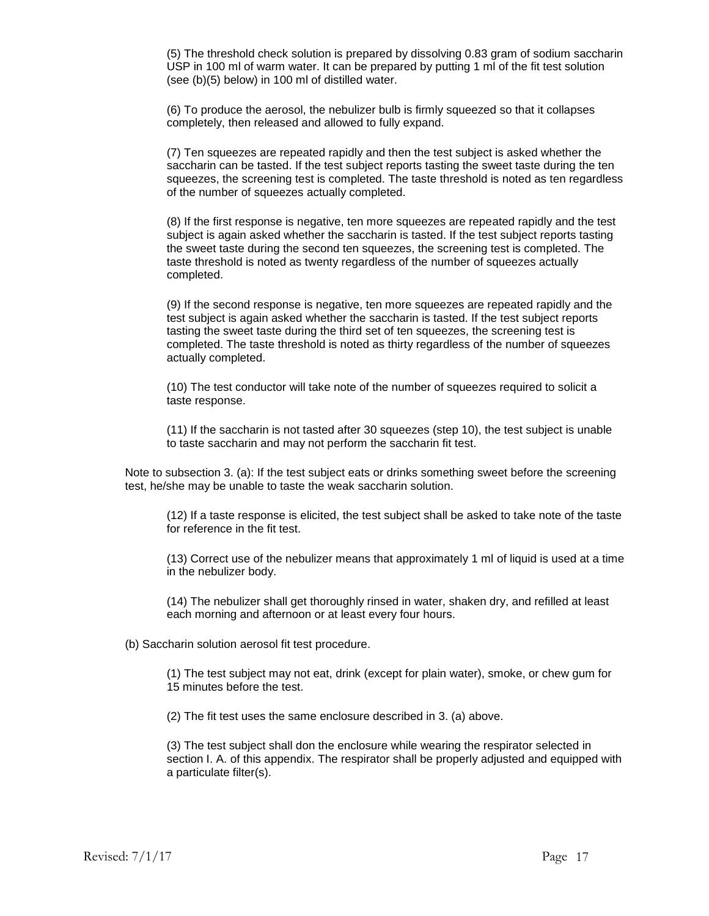(5) The threshold check solution is prepared by dissolving 0.83 gram of sodium saccharin USP in 100 ml of warm water. It can be prepared by putting 1 ml of the fit test solution (see (b)(5) below) in 100 ml of distilled water.

(6) To produce the aerosol, the nebulizer bulb is firmly squeezed so that it collapses completely, then released and allowed to fully expand.

(7) Ten squeezes are repeated rapidly and then the test subject is asked whether the saccharin can be tasted. If the test subject reports tasting the sweet taste during the ten squeezes, the screening test is completed. The taste threshold is noted as ten regardless of the number of squeezes actually completed.

(8) If the first response is negative, ten more squeezes are repeated rapidly and the test subject is again asked whether the saccharin is tasted. If the test subject reports tasting the sweet taste during the second ten squeezes, the screening test is completed. The taste threshold is noted as twenty regardless of the number of squeezes actually completed.

(9) If the second response is negative, ten more squeezes are repeated rapidly and the test subject is again asked whether the saccharin is tasted. If the test subject reports tasting the sweet taste during the third set of ten squeezes, the screening test is completed. The taste threshold is noted as thirty regardless of the number of squeezes actually completed.

(10) The test conductor will take note of the number of squeezes required to solicit a taste response.

(11) If the saccharin is not tasted after 30 squeezes (step 10), the test subject is unable to taste saccharin and may not perform the saccharin fit test.

Note to subsection 3. (a): If the test subject eats or drinks something sweet before the screening test, he/she may be unable to taste the weak saccharin solution.

(12) If a taste response is elicited, the test subject shall be asked to take note of the taste for reference in the fit test.

(13) Correct use of the nebulizer means that approximately 1 ml of liquid is used at a time in the nebulizer body.

(14) The nebulizer shall get thoroughly rinsed in water, shaken dry, and refilled at least each morning and afternoon or at least every four hours.

(b) Saccharin solution aerosol fit test procedure.

(1) The test subject may not eat, drink (except for plain water), smoke, or chew gum for 15 minutes before the test.

(2) The fit test uses the same enclosure described in 3. (a) above.

(3) The test subject shall don the enclosure while wearing the respirator selected in section I. A. of this appendix. The respirator shall be properly adjusted and equipped with a particulate filter(s).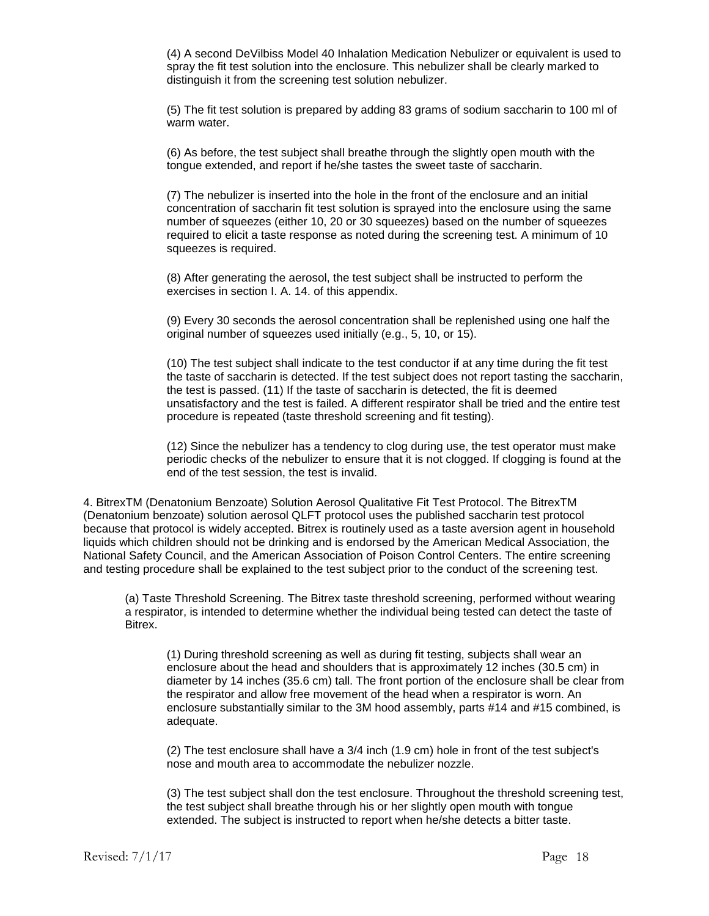(4) A second DeVilbiss Model 40 Inhalation Medication Nebulizer or equivalent is used to spray the fit test solution into the enclosure. This nebulizer shall be clearly marked to distinguish it from the screening test solution nebulizer.

(5) The fit test solution is prepared by adding 83 grams of sodium saccharin to 100 ml of warm water.

(6) As before, the test subject shall breathe through the slightly open mouth with the tongue extended, and report if he/she tastes the sweet taste of saccharin.

(7) The nebulizer is inserted into the hole in the front of the enclosure and an initial concentration of saccharin fit test solution is sprayed into the enclosure using the same number of squeezes (either 10, 20 or 30 squeezes) based on the number of squeezes required to elicit a taste response as noted during the screening test. A minimum of 10 squeezes is required.

(8) After generating the aerosol, the test subject shall be instructed to perform the exercises in section I. A. 14. of this appendix.

(9) Every 30 seconds the aerosol concentration shall be replenished using one half the original number of squeezes used initially (e.g., 5, 10, or 15).

(10) The test subject shall indicate to the test conductor if at any time during the fit test the taste of saccharin is detected. If the test subject does not report tasting the saccharin, the test is passed. (11) If the taste of saccharin is detected, the fit is deemed unsatisfactory and the test is failed. A different respirator shall be tried and the entire test procedure is repeated (taste threshold screening and fit testing).

(12) Since the nebulizer has a tendency to clog during use, the test operator must make periodic checks of the nebulizer to ensure that it is not clogged. If clogging is found at the end of the test session, the test is invalid.

4. BitrexTM (Denatonium Benzoate) Solution Aerosol Qualitative Fit Test Protocol. The BitrexTM (Denatonium benzoate) solution aerosol QLFT protocol uses the published saccharin test protocol because that protocol is widely accepted. Bitrex is routinely used as a taste aversion agent in household liquids which children should not be drinking and is endorsed by the American Medical Association, the National Safety Council, and the American Association of Poison Control Centers. The entire screening and testing procedure shall be explained to the test subject prior to the conduct of the screening test.

(a) Taste Threshold Screening. The Bitrex taste threshold screening, performed without wearing a respirator, is intended to determine whether the individual being tested can detect the taste of Bitrex.

(1) During threshold screening as well as during fit testing, subjects shall wear an enclosure about the head and shoulders that is approximately 12 inches (30.5 cm) in diameter by 14 inches (35.6 cm) tall. The front portion of the enclosure shall be clear from the respirator and allow free movement of the head when a respirator is worn. An enclosure substantially similar to the 3M hood assembly, parts #14 and #15 combined, is adequate.

(2) The test enclosure shall have a 3/4 inch (1.9 cm) hole in front of the test subject's nose and mouth area to accommodate the nebulizer nozzle.

(3) The test subject shall don the test enclosure. Throughout the threshold screening test, the test subject shall breathe through his or her slightly open mouth with tongue extended. The subject is instructed to report when he/she detects a bitter taste.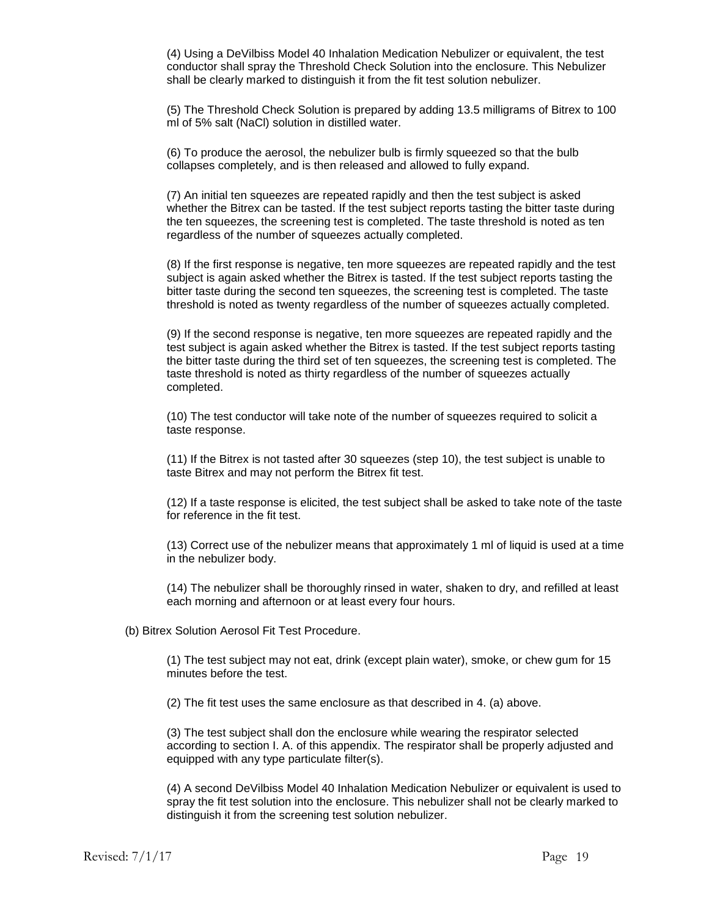(4) Using a DeVilbiss Model 40 Inhalation Medication Nebulizer or equivalent, the test conductor shall spray the Threshold Check Solution into the enclosure. This Nebulizer shall be clearly marked to distinguish it from the fit test solution nebulizer.

(5) The Threshold Check Solution is prepared by adding 13.5 milligrams of Bitrex to 100 ml of 5% salt (NaCl) solution in distilled water.

(6) To produce the aerosol, the nebulizer bulb is firmly squeezed so that the bulb collapses completely, and is then released and allowed to fully expand.

(7) An initial ten squeezes are repeated rapidly and then the test subject is asked whether the Bitrex can be tasted. If the test subject reports tasting the bitter taste during the ten squeezes, the screening test is completed. The taste threshold is noted as ten regardless of the number of squeezes actually completed.

(8) If the first response is negative, ten more squeezes are repeated rapidly and the test subject is again asked whether the Bitrex is tasted. If the test subject reports tasting the bitter taste during the second ten squeezes, the screening test is completed. The taste threshold is noted as twenty regardless of the number of squeezes actually completed.

(9) If the second response is negative, ten more squeezes are repeated rapidly and the test subject is again asked whether the Bitrex is tasted. If the test subject reports tasting the bitter taste during the third set of ten squeezes, the screening test is completed. The taste threshold is noted as thirty regardless of the number of squeezes actually completed.

(10) The test conductor will take note of the number of squeezes required to solicit a taste response.

(11) If the Bitrex is not tasted after 30 squeezes (step 10), the test subject is unable to taste Bitrex and may not perform the Bitrex fit test.

(12) If a taste response is elicited, the test subject shall be asked to take note of the taste for reference in the fit test.

(13) Correct use of the nebulizer means that approximately 1 ml of liquid is used at a time in the nebulizer body.

(14) The nebulizer shall be thoroughly rinsed in water, shaken to dry, and refilled at least each morning and afternoon or at least every four hours.

(b) Bitrex Solution Aerosol Fit Test Procedure.

(1) The test subject may not eat, drink (except plain water), smoke, or chew gum for 15 minutes before the test.

(2) The fit test uses the same enclosure as that described in 4. (a) above.

(3) The test subject shall don the enclosure while wearing the respirator selected according to section I. A. of this appendix. The respirator shall be properly adjusted and equipped with any type particulate filter(s).

(4) A second DeVilbiss Model 40 Inhalation Medication Nebulizer or equivalent is used to spray the fit test solution into the enclosure. This nebulizer shall not be clearly marked to distinguish it from the screening test solution nebulizer.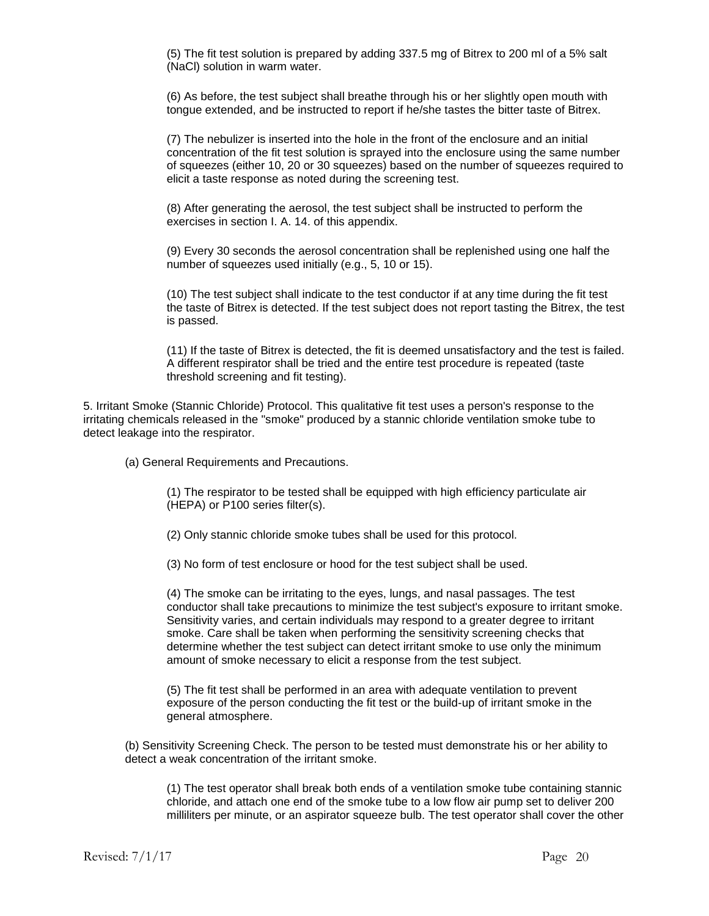(5) The fit test solution is prepared by adding 337.5 mg of Bitrex to 200 ml of a 5% salt (NaCl) solution in warm water.

(6) As before, the test subject shall breathe through his or her slightly open mouth with tongue extended, and be instructed to report if he/she tastes the bitter taste of Bitrex.

(7) The nebulizer is inserted into the hole in the front of the enclosure and an initial concentration of the fit test solution is sprayed into the enclosure using the same number of squeezes (either 10, 20 or 30 squeezes) based on the number of squeezes required to elicit a taste response as noted during the screening test.

(8) After generating the aerosol, the test subject shall be instructed to perform the exercises in section I. A. 14. of this appendix.

(9) Every 30 seconds the aerosol concentration shall be replenished using one half the number of squeezes used initially (e.g., 5, 10 or 15).

(10) The test subject shall indicate to the test conductor if at any time during the fit test the taste of Bitrex is detected. If the test subject does not report tasting the Bitrex, the test is passed.

(11) If the taste of Bitrex is detected, the fit is deemed unsatisfactory and the test is failed. A different respirator shall be tried and the entire test procedure is repeated (taste threshold screening and fit testing).

5. Irritant Smoke (Stannic Chloride) Protocol. This qualitative fit test uses a person's response to the irritating chemicals released in the "smoke" produced by a stannic chloride ventilation smoke tube to detect leakage into the respirator.

(a) General Requirements and Precautions.

(1) The respirator to be tested shall be equipped with high efficiency particulate air (HEPA) or P100 series filter(s).

(2) Only stannic chloride smoke tubes shall be used for this protocol.

(3) No form of test enclosure or hood for the test subject shall be used.

(4) The smoke can be irritating to the eyes, lungs, and nasal passages. The test conductor shall take precautions to minimize the test subject's exposure to irritant smoke. Sensitivity varies, and certain individuals may respond to a greater degree to irritant smoke. Care shall be taken when performing the sensitivity screening checks that determine whether the test subject can detect irritant smoke to use only the minimum amount of smoke necessary to elicit a response from the test subject.

(5) The fit test shall be performed in an area with adequate ventilation to prevent exposure of the person conducting the fit test or the build-up of irritant smoke in the general atmosphere.

(b) Sensitivity Screening Check. The person to be tested must demonstrate his or her ability to detect a weak concentration of the irritant smoke.

(1) The test operator shall break both ends of a ventilation smoke tube containing stannic chloride, and attach one end of the smoke tube to a low flow air pump set to deliver 200 milliliters per minute, or an aspirator squeeze bulb. The test operator shall cover the other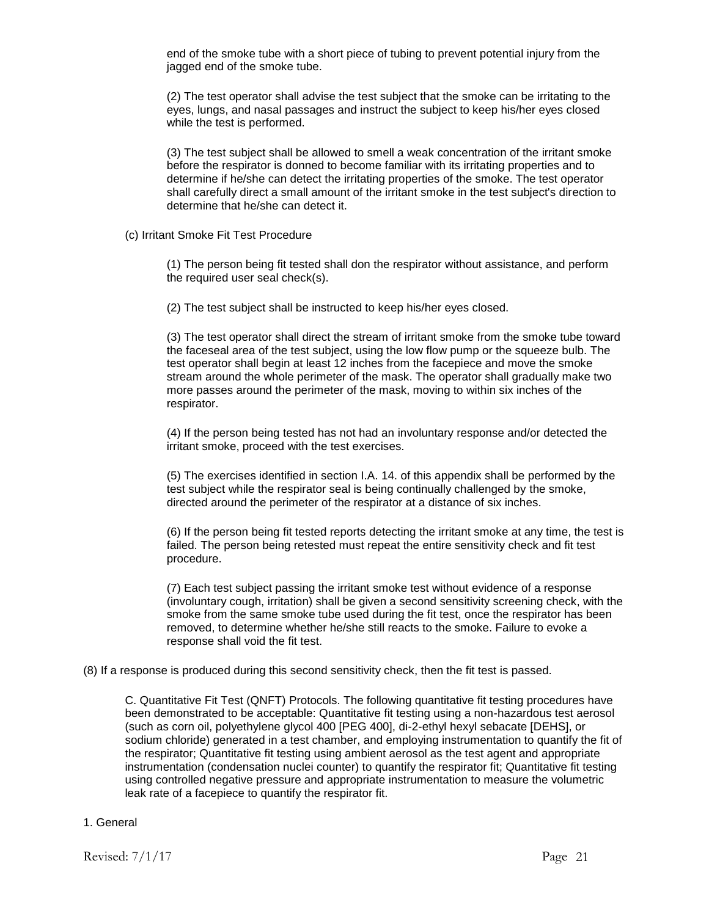end of the smoke tube with a short piece of tubing to prevent potential injury from the jagged end of the smoke tube.

(2) The test operator shall advise the test subject that the smoke can be irritating to the eyes, lungs, and nasal passages and instruct the subject to keep his/her eyes closed while the test is performed.

(3) The test subject shall be allowed to smell a weak concentration of the irritant smoke before the respirator is donned to become familiar with its irritating properties and to determine if he/she can detect the irritating properties of the smoke. The test operator shall carefully direct a small amount of the irritant smoke in the test subject's direction to determine that he/she can detect it.

(c) Irritant Smoke Fit Test Procedure

(1) The person being fit tested shall don the respirator without assistance, and perform the required user seal check(s).

(2) The test subject shall be instructed to keep his/her eyes closed.

(3) The test operator shall direct the stream of irritant smoke from the smoke tube toward the faceseal area of the test subject, using the low flow pump or the squeeze bulb. The test operator shall begin at least 12 inches from the facepiece and move the smoke stream around the whole perimeter of the mask. The operator shall gradually make two more passes around the perimeter of the mask, moving to within six inches of the respirator.

(4) If the person being tested has not had an involuntary response and/or detected the irritant smoke, proceed with the test exercises.

(5) The exercises identified in section I.A. 14. of this appendix shall be performed by the test subject while the respirator seal is being continually challenged by the smoke, directed around the perimeter of the respirator at a distance of six inches.

(6) If the person being fit tested reports detecting the irritant smoke at any time, the test is failed. The person being retested must repeat the entire sensitivity check and fit test procedure.

(7) Each test subject passing the irritant smoke test without evidence of a response (involuntary cough, irritation) shall be given a second sensitivity screening check, with the smoke from the same smoke tube used during the fit test, once the respirator has been removed, to determine whether he/she still reacts to the smoke. Failure to evoke a response shall void the fit test.

#### (8) If a response is produced during this second sensitivity check, then the fit test is passed.

C. Quantitative Fit Test (QNFT) Protocols. The following quantitative fit testing procedures have been demonstrated to be acceptable: Quantitative fit testing using a non-hazardous test aerosol (such as corn oil, polyethylene glycol 400 [PEG 400], di-2-ethyl hexyl sebacate [DEHS], or sodium chloride) generated in a test chamber, and employing instrumentation to quantify the fit of the respirator; Quantitative fit testing using ambient aerosol as the test agent and appropriate instrumentation (condensation nuclei counter) to quantify the respirator fit; Quantitative fit testing using controlled negative pressure and appropriate instrumentation to measure the volumetric leak rate of a facepiece to quantify the respirator fit.

#### 1. General

Revised:  $7/1/17$  Page 21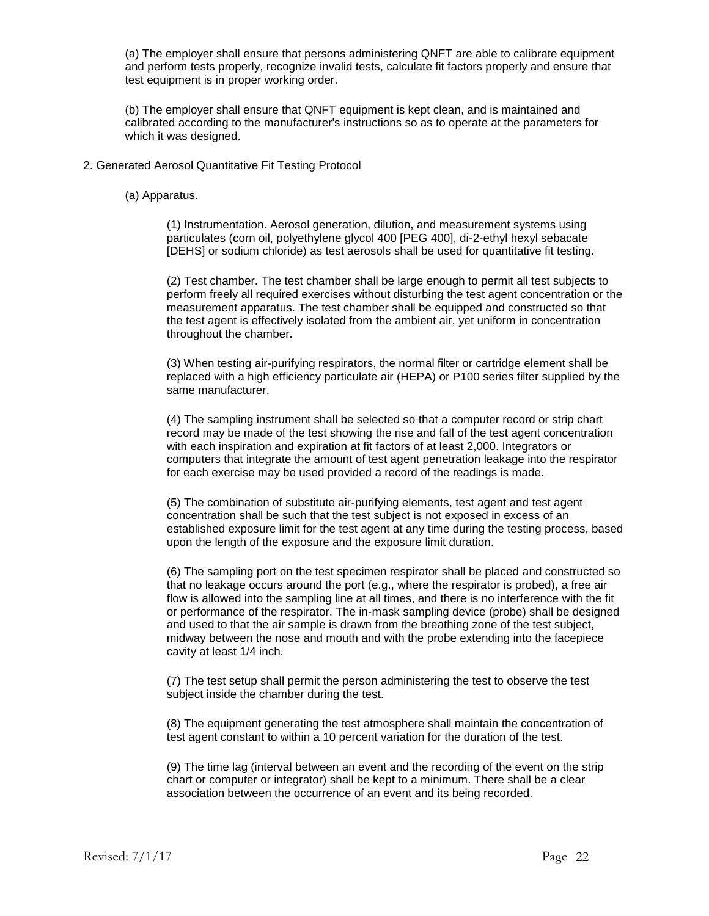(a) The employer shall ensure that persons administering QNFT are able to calibrate equipment and perform tests properly, recognize invalid tests, calculate fit factors properly and ensure that test equipment is in proper working order.

(b) The employer shall ensure that QNFT equipment is kept clean, and is maintained and calibrated according to the manufacturer's instructions so as to operate at the parameters for which it was designed.

2. Generated Aerosol Quantitative Fit Testing Protocol

(a) Apparatus.

(1) Instrumentation. Aerosol generation, dilution, and measurement systems using particulates (corn oil, polyethylene glycol 400 [PEG 400], di-2-ethyl hexyl sebacate [DEHS] or sodium chloride) as test aerosols shall be used for quantitative fit testing.

(2) Test chamber. The test chamber shall be large enough to permit all test subjects to perform freely all required exercises without disturbing the test agent concentration or the measurement apparatus. The test chamber shall be equipped and constructed so that the test agent is effectively isolated from the ambient air, yet uniform in concentration throughout the chamber.

(3) When testing air-purifying respirators, the normal filter or cartridge element shall be replaced with a high efficiency particulate air (HEPA) or P100 series filter supplied by the same manufacturer.

(4) The sampling instrument shall be selected so that a computer record or strip chart record may be made of the test showing the rise and fall of the test agent concentration with each inspiration and expiration at fit factors of at least 2,000. Integrators or computers that integrate the amount of test agent penetration leakage into the respirator for each exercise may be used provided a record of the readings is made.

(5) The combination of substitute air-purifying elements, test agent and test agent concentration shall be such that the test subject is not exposed in excess of an established exposure limit for the test agent at any time during the testing process, based upon the length of the exposure and the exposure limit duration.

(6) The sampling port on the test specimen respirator shall be placed and constructed so that no leakage occurs around the port (e.g., where the respirator is probed), a free air flow is allowed into the sampling line at all times, and there is no interference with the fit or performance of the respirator. The in-mask sampling device (probe) shall be designed and used to that the air sample is drawn from the breathing zone of the test subject, midway between the nose and mouth and with the probe extending into the facepiece cavity at least 1/4 inch.

(7) The test setup shall permit the person administering the test to observe the test subject inside the chamber during the test.

(8) The equipment generating the test atmosphere shall maintain the concentration of test agent constant to within a 10 percent variation for the duration of the test.

(9) The time lag (interval between an event and the recording of the event on the strip chart or computer or integrator) shall be kept to a minimum. There shall be a clear association between the occurrence of an event and its being recorded.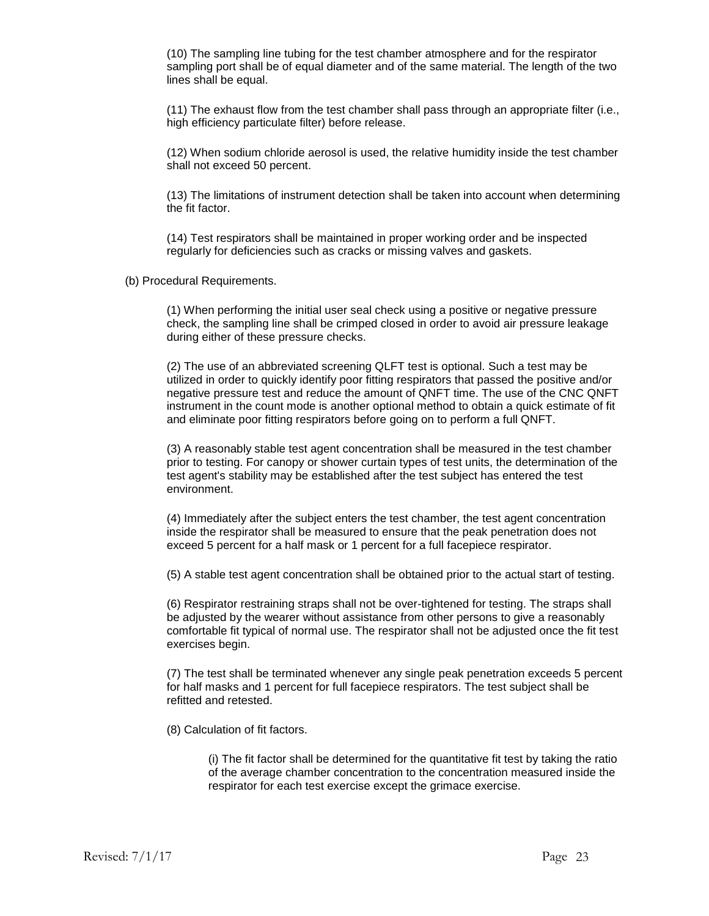(10) The sampling line tubing for the test chamber atmosphere and for the respirator sampling port shall be of equal diameter and of the same material. The length of the two lines shall be equal.

(11) The exhaust flow from the test chamber shall pass through an appropriate filter (i.e., high efficiency particulate filter) before release.

(12) When sodium chloride aerosol is used, the relative humidity inside the test chamber shall not exceed 50 percent.

(13) The limitations of instrument detection shall be taken into account when determining the fit factor.

(14) Test respirators shall be maintained in proper working order and be inspected regularly for deficiencies such as cracks or missing valves and gaskets.

(b) Procedural Requirements.

(1) When performing the initial user seal check using a positive or negative pressure check, the sampling line shall be crimped closed in order to avoid air pressure leakage during either of these pressure checks.

(2) The use of an abbreviated screening QLFT test is optional. Such a test may be utilized in order to quickly identify poor fitting respirators that passed the positive and/or negative pressure test and reduce the amount of QNFT time. The use of the CNC QNFT instrument in the count mode is another optional method to obtain a quick estimate of fit and eliminate poor fitting respirators before going on to perform a full QNFT.

(3) A reasonably stable test agent concentration shall be measured in the test chamber prior to testing. For canopy or shower curtain types of test units, the determination of the test agent's stability may be established after the test subject has entered the test environment.

(4) Immediately after the subject enters the test chamber, the test agent concentration inside the respirator shall be measured to ensure that the peak penetration does not exceed 5 percent for a half mask or 1 percent for a full facepiece respirator.

(5) A stable test agent concentration shall be obtained prior to the actual start of testing.

(6) Respirator restraining straps shall not be over-tightened for testing. The straps shall be adjusted by the wearer without assistance from other persons to give a reasonably comfortable fit typical of normal use. The respirator shall not be adjusted once the fit test exercises begin.

(7) The test shall be terminated whenever any single peak penetration exceeds 5 percent for half masks and 1 percent for full facepiece respirators. The test subject shall be refitted and retested.

(8) Calculation of fit factors.

(i) The fit factor shall be determined for the quantitative fit test by taking the ratio of the average chamber concentration to the concentration measured inside the respirator for each test exercise except the grimace exercise.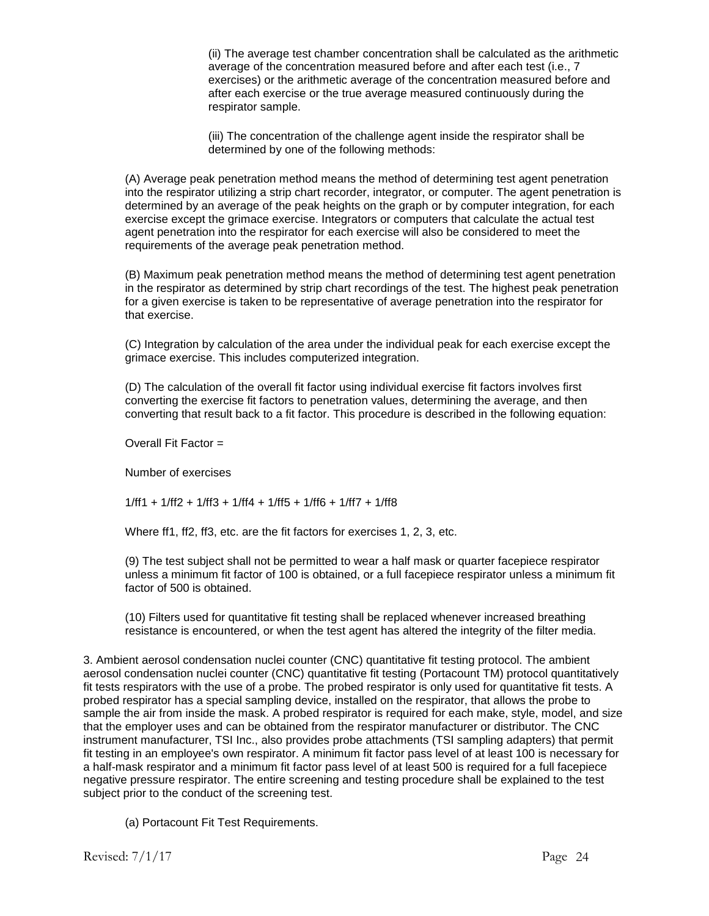(ii) The average test chamber concentration shall be calculated as the arithmetic average of the concentration measured before and after each test (i.e., 7 exercises) or the arithmetic average of the concentration measured before and after each exercise or the true average measured continuously during the respirator sample.

(iii) The concentration of the challenge agent inside the respirator shall be determined by one of the following methods:

(A) Average peak penetration method means the method of determining test agent penetration into the respirator utilizing a strip chart recorder, integrator, or computer. The agent penetration is determined by an average of the peak heights on the graph or by computer integration, for each exercise except the grimace exercise. Integrators or computers that calculate the actual test agent penetration into the respirator for each exercise will also be considered to meet the requirements of the average peak penetration method.

(B) Maximum peak penetration method means the method of determining test agent penetration in the respirator as determined by strip chart recordings of the test. The highest peak penetration for a given exercise is taken to be representative of average penetration into the respirator for that exercise.

(C) Integration by calculation of the area under the individual peak for each exercise except the grimace exercise. This includes computerized integration.

(D) The calculation of the overall fit factor using individual exercise fit factors involves first converting the exercise fit factors to penetration values, determining the average, and then converting that result back to a fit factor. This procedure is described in the following equation:

Overall Fit Factor =

Number of exercises

1/ff1 + 1/ff2 + 1/ff3 + 1/ff4 + 1/ff5 + 1/ff6 + 1/ff7 + 1/ff8

Where ff1, ff2, ff3, etc. are the fit factors for exercises 1, 2, 3, etc.

(9) The test subject shall not be permitted to wear a half mask or quarter facepiece respirator unless a minimum fit factor of 100 is obtained, or a full facepiece respirator unless a minimum fit factor of 500 is obtained.

(10) Filters used for quantitative fit testing shall be replaced whenever increased breathing resistance is encountered, or when the test agent has altered the integrity of the filter media.

3. Ambient aerosol condensation nuclei counter (CNC) quantitative fit testing protocol. The ambient aerosol condensation nuclei counter (CNC) quantitative fit testing (Portacount TM) protocol quantitatively fit tests respirators with the use of a probe. The probed respirator is only used for quantitative fit tests. A probed respirator has a special sampling device, installed on the respirator, that allows the probe to sample the air from inside the mask. A probed respirator is required for each make, style, model, and size that the employer uses and can be obtained from the respirator manufacturer or distributor. The CNC instrument manufacturer, TSI Inc., also provides probe attachments (TSI sampling adapters) that permit fit testing in an employee's own respirator. A minimum fit factor pass level of at least 100 is necessary for a half-mask respirator and a minimum fit factor pass level of at least 500 is required for a full facepiece negative pressure respirator. The entire screening and testing procedure shall be explained to the test subject prior to the conduct of the screening test.

(a) Portacount Fit Test Requirements.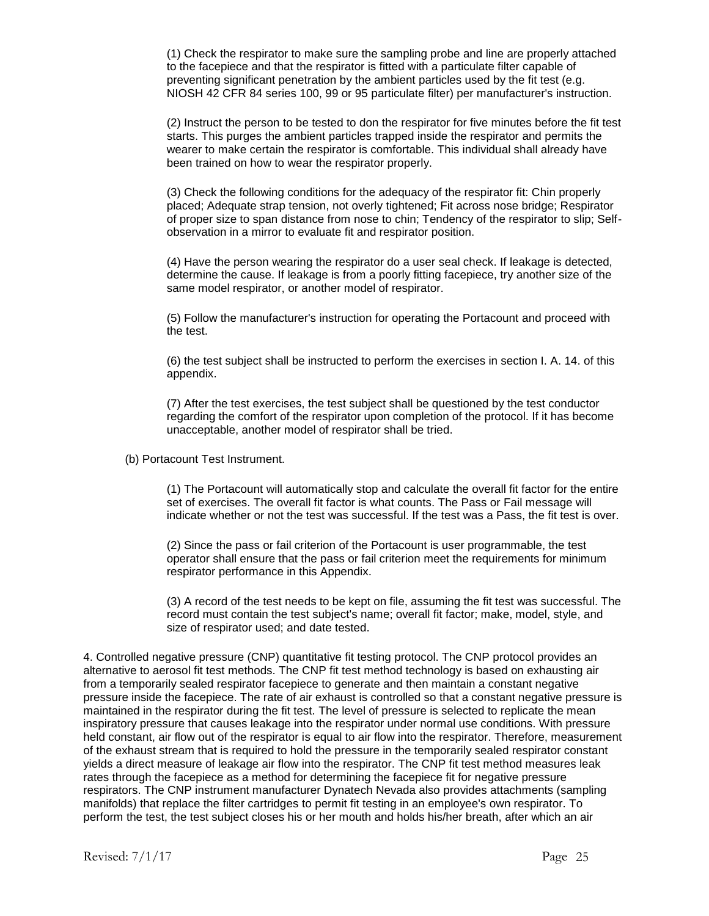(1) Check the respirator to make sure the sampling probe and line are properly attached to the facepiece and that the respirator is fitted with a particulate filter capable of preventing significant penetration by the ambient particles used by the fit test (e.g. NIOSH 42 CFR 84 series 100, 99 or 95 particulate filter) per manufacturer's instruction.

(2) Instruct the person to be tested to don the respirator for five minutes before the fit test starts. This purges the ambient particles trapped inside the respirator and permits the wearer to make certain the respirator is comfortable. This individual shall already have been trained on how to wear the respirator properly.

(3) Check the following conditions for the adequacy of the respirator fit: Chin properly placed; Adequate strap tension, not overly tightened; Fit across nose bridge; Respirator of proper size to span distance from nose to chin; Tendency of the respirator to slip; Selfobservation in a mirror to evaluate fit and respirator position.

(4) Have the person wearing the respirator do a user seal check. If leakage is detected, determine the cause. If leakage is from a poorly fitting facepiece, try another size of the same model respirator, or another model of respirator.

(5) Follow the manufacturer's instruction for operating the Portacount and proceed with the test.

(6) the test subject shall be instructed to perform the exercises in section I. A. 14. of this appendix.

(7) After the test exercises, the test subject shall be questioned by the test conductor regarding the comfort of the respirator upon completion of the protocol. If it has become unacceptable, another model of respirator shall be tried.

(b) Portacount Test Instrument.

(1) The Portacount will automatically stop and calculate the overall fit factor for the entire set of exercises. The overall fit factor is what counts. The Pass or Fail message will indicate whether or not the test was successful. If the test was a Pass, the fit test is over.

(2) Since the pass or fail criterion of the Portacount is user programmable, the test operator shall ensure that the pass or fail criterion meet the requirements for minimum respirator performance in this Appendix.

(3) A record of the test needs to be kept on file, assuming the fit test was successful. The record must contain the test subject's name; overall fit factor; make, model, style, and size of respirator used; and date tested.

4. Controlled negative pressure (CNP) quantitative fit testing protocol. The CNP protocol provides an alternative to aerosol fit test methods. The CNP fit test method technology is based on exhausting air from a temporarily sealed respirator facepiece to generate and then maintain a constant negative pressure inside the facepiece. The rate of air exhaust is controlled so that a constant negative pressure is maintained in the respirator during the fit test. The level of pressure is selected to replicate the mean inspiratory pressure that causes leakage into the respirator under normal use conditions. With pressure held constant, air flow out of the respirator is equal to air flow into the respirator. Therefore, measurement of the exhaust stream that is required to hold the pressure in the temporarily sealed respirator constant yields a direct measure of leakage air flow into the respirator. The CNP fit test method measures leak rates through the facepiece as a method for determining the facepiece fit for negative pressure respirators. The CNP instrument manufacturer Dynatech Nevada also provides attachments (sampling manifolds) that replace the filter cartridges to permit fit testing in an employee's own respirator. To perform the test, the test subject closes his or her mouth and holds his/her breath, after which an air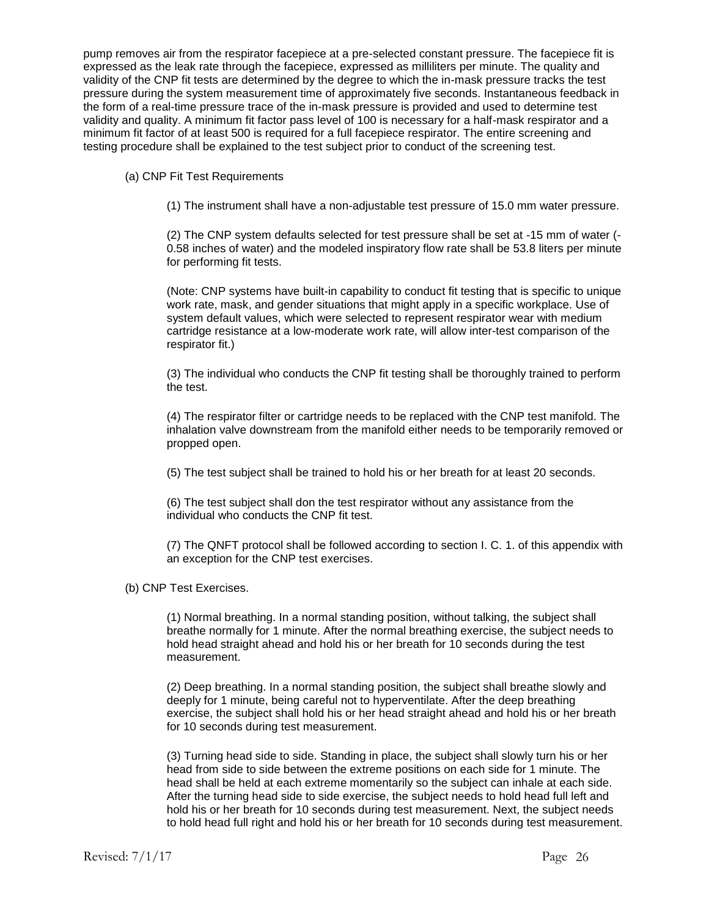pump removes air from the respirator facepiece at a pre-selected constant pressure. The facepiece fit is expressed as the leak rate through the facepiece, expressed as milliliters per minute. The quality and validity of the CNP fit tests are determined by the degree to which the in-mask pressure tracks the test pressure during the system measurement time of approximately five seconds. Instantaneous feedback in the form of a real-time pressure trace of the in-mask pressure is provided and used to determine test validity and quality. A minimum fit factor pass level of 100 is necessary for a half-mask respirator and a minimum fit factor of at least 500 is required for a full facepiece respirator. The entire screening and testing procedure shall be explained to the test subject prior to conduct of the screening test.

(a) CNP Fit Test Requirements

(1) The instrument shall have a non-adjustable test pressure of 15.0 mm water pressure.

(2) The CNP system defaults selected for test pressure shall be set at -15 mm of water (- 0.58 inches of water) and the modeled inspiratory flow rate shall be 53.8 liters per minute for performing fit tests.

(Note: CNP systems have built-in capability to conduct fit testing that is specific to unique work rate, mask, and gender situations that might apply in a specific workplace. Use of system default values, which were selected to represent respirator wear with medium cartridge resistance at a low-moderate work rate, will allow inter-test comparison of the respirator fit.)

(3) The individual who conducts the CNP fit testing shall be thoroughly trained to perform the test.

(4) The respirator filter or cartridge needs to be replaced with the CNP test manifold. The inhalation valve downstream from the manifold either needs to be temporarily removed or propped open.

(5) The test subject shall be trained to hold his or her breath for at least 20 seconds.

(6) The test subject shall don the test respirator without any assistance from the individual who conducts the CNP fit test.

(7) The QNFT protocol shall be followed according to section I. C. 1. of this appendix with an exception for the CNP test exercises.

(b) CNP Test Exercises.

(1) Normal breathing. In a normal standing position, without talking, the subject shall breathe normally for 1 minute. After the normal breathing exercise, the subject needs to hold head straight ahead and hold his or her breath for 10 seconds during the test measurement.

(2) Deep breathing. In a normal standing position, the subject shall breathe slowly and deeply for 1 minute, being careful not to hyperventilate. After the deep breathing exercise, the subject shall hold his or her head straight ahead and hold his or her breath for 10 seconds during test measurement.

(3) Turning head side to side. Standing in place, the subject shall slowly turn his or her head from side to side between the extreme positions on each side for 1 minute. The head shall be held at each extreme momentarily so the subject can inhale at each side. After the turning head side to side exercise, the subject needs to hold head full left and hold his or her breath for 10 seconds during test measurement. Next, the subject needs to hold head full right and hold his or her breath for 10 seconds during test measurement.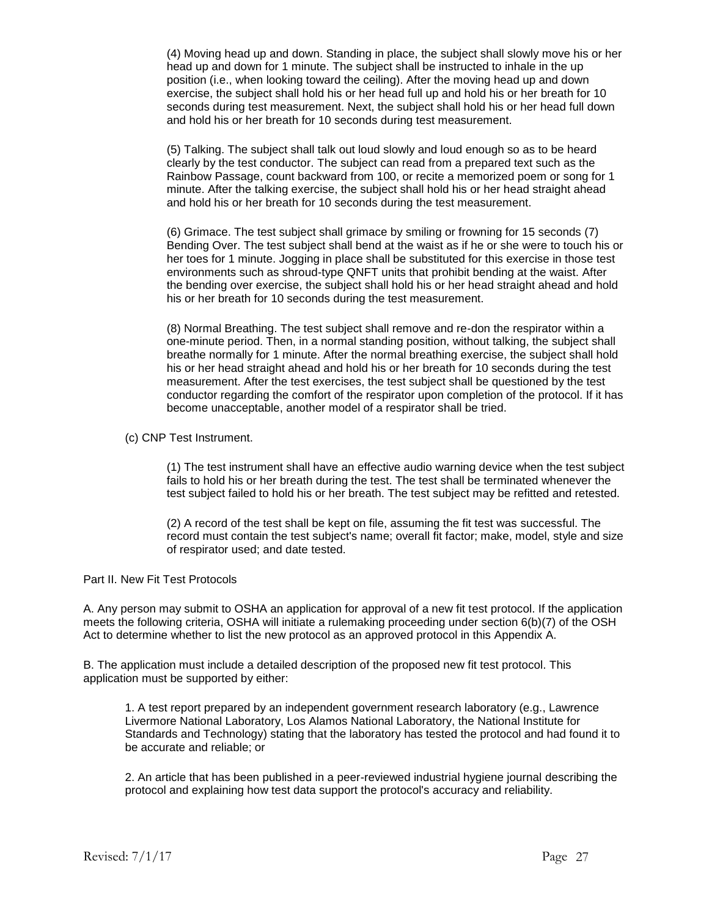(4) Moving head up and down. Standing in place, the subject shall slowly move his or her head up and down for 1 minute. The subject shall be instructed to inhale in the up position (i.e., when looking toward the ceiling). After the moving head up and down exercise, the subject shall hold his or her head full up and hold his or her breath for 10 seconds during test measurement. Next, the subject shall hold his or her head full down and hold his or her breath for 10 seconds during test measurement.

(5) Talking. The subject shall talk out loud slowly and loud enough so as to be heard clearly by the test conductor. The subject can read from a prepared text such as the Rainbow Passage, count backward from 100, or recite a memorized poem or song for 1 minute. After the talking exercise, the subject shall hold his or her head straight ahead and hold his or her breath for 10 seconds during the test measurement.

(6) Grimace. The test subject shall grimace by smiling or frowning for 15 seconds (7) Bending Over. The test subject shall bend at the waist as if he or she were to touch his or her toes for 1 minute. Jogging in place shall be substituted for this exercise in those test environments such as shroud-type QNFT units that prohibit bending at the waist. After the bending over exercise, the subject shall hold his or her head straight ahead and hold his or her breath for 10 seconds during the test measurement.

(8) Normal Breathing. The test subject shall remove and re-don the respirator within a one-minute period. Then, in a normal standing position, without talking, the subject shall breathe normally for 1 minute. After the normal breathing exercise, the subject shall hold his or her head straight ahead and hold his or her breath for 10 seconds during the test measurement. After the test exercises, the test subject shall be questioned by the test conductor regarding the comfort of the respirator upon completion of the protocol. If it has become unacceptable, another model of a respirator shall be tried.

(c) CNP Test Instrument.

(1) The test instrument shall have an effective audio warning device when the test subject fails to hold his or her breath during the test. The test shall be terminated whenever the test subject failed to hold his or her breath. The test subject may be refitted and retested.

(2) A record of the test shall be kept on file, assuming the fit test was successful. The record must contain the test subject's name; overall fit factor; make, model, style and size of respirator used; and date tested.

Part II. New Fit Test Protocols

A. Any person may submit to OSHA an application for approval of a new fit test protocol. If the application meets the following criteria, OSHA will initiate a rulemaking proceeding under section 6(b)(7) of the OSH Act to determine whether to list the new protocol as an approved protocol in this Appendix A.

B. The application must include a detailed description of the proposed new fit test protocol. This application must be supported by either:

1. A test report prepared by an independent government research laboratory (e.g., Lawrence Livermore National Laboratory, Los Alamos National Laboratory, the National Institute for Standards and Technology) stating that the laboratory has tested the protocol and had found it to be accurate and reliable; or

2. An article that has been published in a peer-reviewed industrial hygiene journal describing the protocol and explaining how test data support the protocol's accuracy and reliability.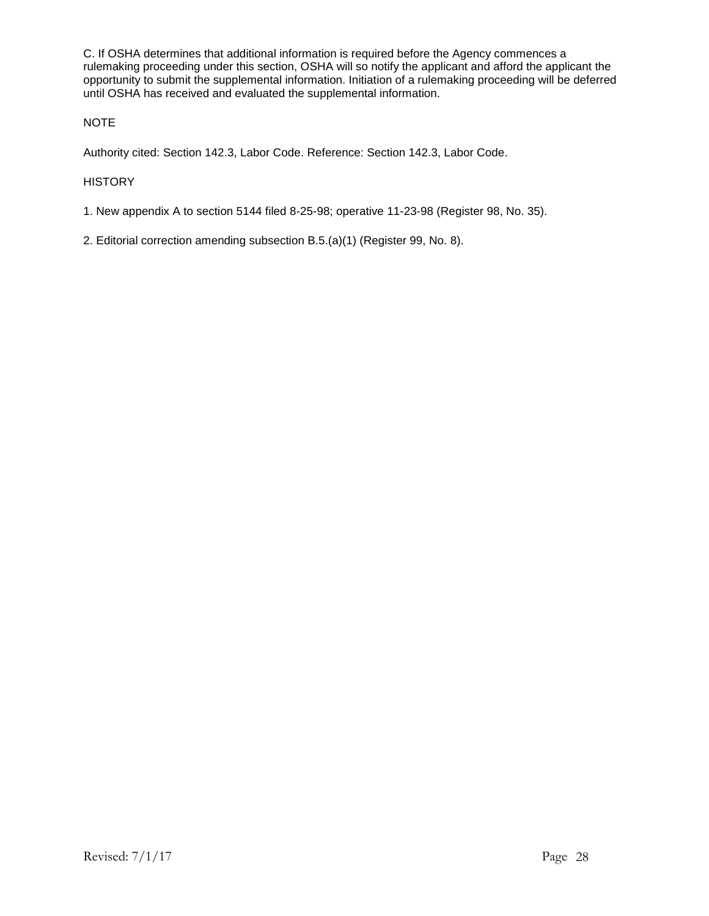C. If OSHA determines that additional information is required before the Agency commences a rulemaking proceeding under this section, OSHA will so notify the applicant and afford the applicant the opportunity to submit the supplemental information. Initiation of a rulemaking proceeding will be deferred until OSHA has received and evaluated the supplemental information.

#### NOTE

Authority cited: Section 142.3, Labor Code. Reference: Section 142.3, Labor Code.

#### **HISTORY**

1. New appendix A to section 5144 filed 8-25-98; operative 11-23-98 (Register 98, No. 35).

2. Editorial correction amending subsection B.5.(a)(1) (Register 99, No. 8).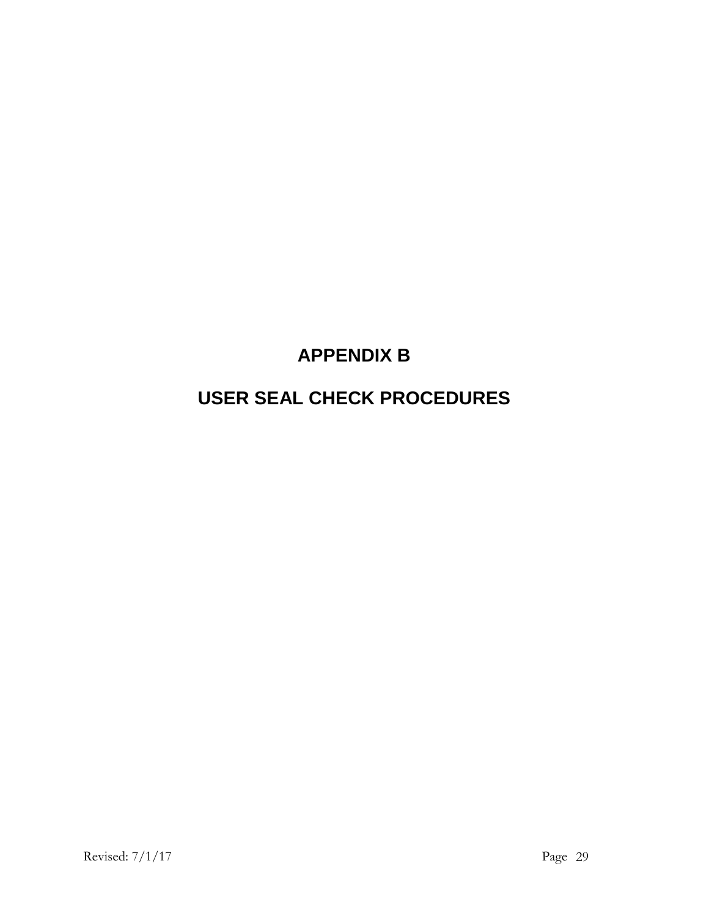# **APPENDIX B**

# **USER SEAL CHECK PROCEDURES**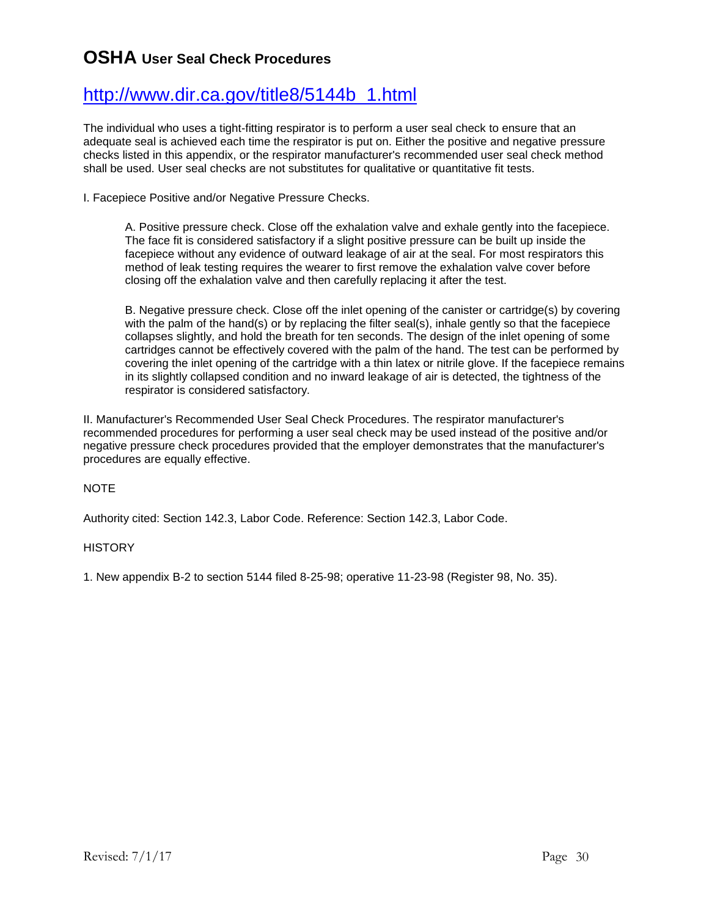## **OSHA User Seal Check Procedures**

## [http://www.dir.ca.gov/title8/5144b\\_1.html](http://www.dir.ca.gov/title8/5144b_1.html)

The individual who uses a tight-fitting respirator is to perform a user seal check to ensure that an adequate seal is achieved each time the respirator is put on. Either the positive and negative pressure checks listed in this appendix, or the respirator manufacturer's recommended user seal check method shall be used. User seal checks are not substitutes for qualitative or quantitative fit tests.

I. Facepiece Positive and/or Negative Pressure Checks.

A. Positive pressure check. Close off the exhalation valve and exhale gently into the facepiece. The face fit is considered satisfactory if a slight positive pressure can be built up inside the facepiece without any evidence of outward leakage of air at the seal. For most respirators this method of leak testing requires the wearer to first remove the exhalation valve cover before closing off the exhalation valve and then carefully replacing it after the test.

B. Negative pressure check. Close off the inlet opening of the canister or cartridge(s) by covering with the palm of the hand(s) or by replacing the filter seal(s), inhale gently so that the facepiece collapses slightly, and hold the breath for ten seconds. The design of the inlet opening of some cartridges cannot be effectively covered with the palm of the hand. The test can be performed by covering the inlet opening of the cartridge with a thin latex or nitrile glove. If the facepiece remains in its slightly collapsed condition and no inward leakage of air is detected, the tightness of the respirator is considered satisfactory.

II. Manufacturer's Recommended User Seal Check Procedures. The respirator manufacturer's recommended procedures for performing a user seal check may be used instead of the positive and/or negative pressure check procedures provided that the employer demonstrates that the manufacturer's procedures are equally effective.

#### **NOTE**

Authority cited: Section 142.3, Labor Code. Reference: Section 142.3, Labor Code.

#### **HISTORY**

1. New appendix B-2 to section 5144 filed 8-25-98; operative 11-23-98 (Register 98, No. 35).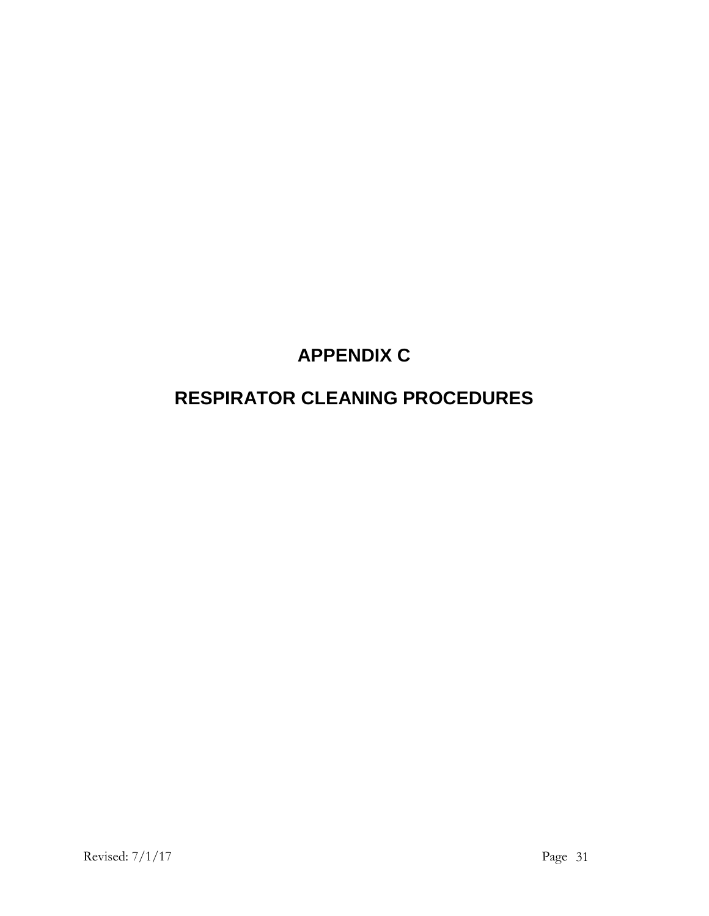# **APPENDIX C**

# **RESPIRATOR CLEANING PROCEDURES**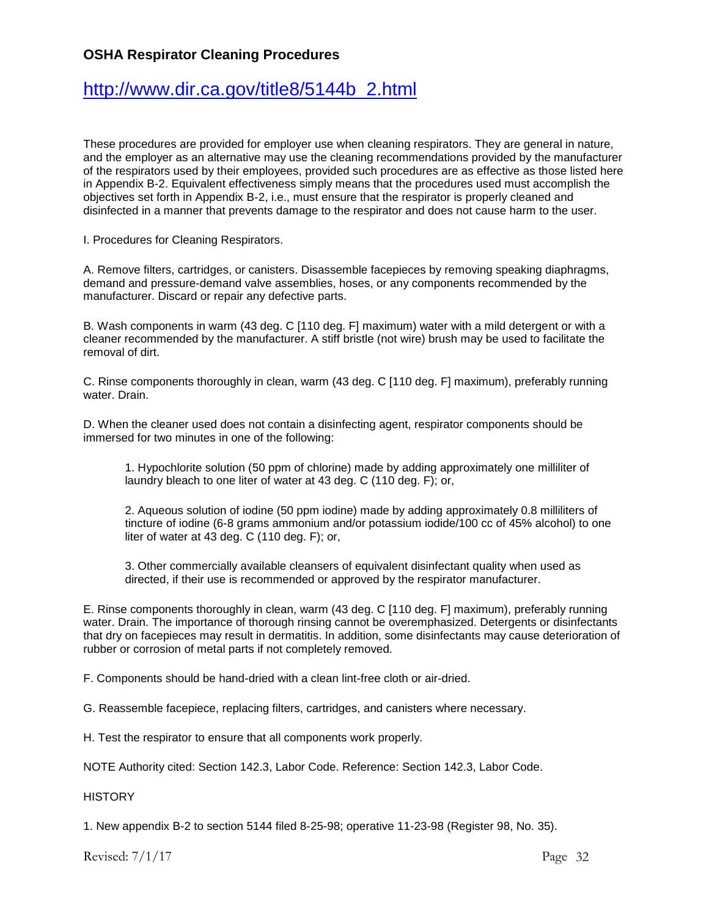### **OSHA Respirator Cleaning Procedures**

## [http://www.dir.ca.gov/title8/5144b\\_2.html](http://www.dir.ca.gov/title8/5144b_2.html)

These procedures are provided for employer use when cleaning respirators. They are general in nature, and the employer as an alternative may use the cleaning recommendations provided by the manufacturer of the respirators used by their employees, provided such procedures are as effective as those listed here in Appendix B-2. Equivalent effectiveness simply means that the procedures used must accomplish the objectives set forth in Appendix B-2, i.e., must ensure that the respirator is properly cleaned and disinfected in a manner that prevents damage to the respirator and does not cause harm to the user.

I. Procedures for Cleaning Respirators.

A. Remove filters, cartridges, or canisters. Disassemble facepieces by removing speaking diaphragms, demand and pressure-demand valve assemblies, hoses, or any components recommended by the manufacturer. Discard or repair any defective parts.

B. Wash components in warm (43 deg. C [110 deg. F] maximum) water with a mild detergent or with a cleaner recommended by the manufacturer. A stiff bristle (not wire) brush may be used to facilitate the removal of dirt.

C. Rinse components thoroughly in clean, warm (43 deg. C [110 deg. F] maximum), preferably running water. Drain.

D. When the cleaner used does not contain a disinfecting agent, respirator components should be immersed for two minutes in one of the following:

1. Hypochlorite solution (50 ppm of chlorine) made by adding approximately one milliliter of laundry bleach to one liter of water at 43 deg. C (110 deg. F); or,

2. Aqueous solution of iodine (50 ppm iodine) made by adding approximately 0.8 milliliters of tincture of iodine (6-8 grams ammonium and/or potassium iodide/100 cc of 45% alcohol) to one liter of water at 43 deg. C (110 deg. F); or,

3. Other commercially available cleansers of equivalent disinfectant quality when used as directed, if their use is recommended or approved by the respirator manufacturer.

E. Rinse components thoroughly in clean, warm (43 deg. C [110 deg. F] maximum), preferably running water. Drain. The importance of thorough rinsing cannot be overemphasized. Detergents or disinfectants that dry on facepieces may result in dermatitis. In addition, some disinfectants may cause deterioration of rubber or corrosion of metal parts if not completely removed.

F. Components should be hand-dried with a clean lint-free cloth or air-dried.

G. Reassemble facepiece, replacing filters, cartridges, and canisters where necessary.

H. Test the respirator to ensure that all components work properly.

NOTE Authority cited: Section 142.3, Labor Code. Reference: Section 142.3, Labor Code.

**HISTORY** 

1. New appendix B-2 to section 5144 filed 8-25-98; operative 11-23-98 (Register 98, No. 35).

Revised:  $7/1/17$  Page 32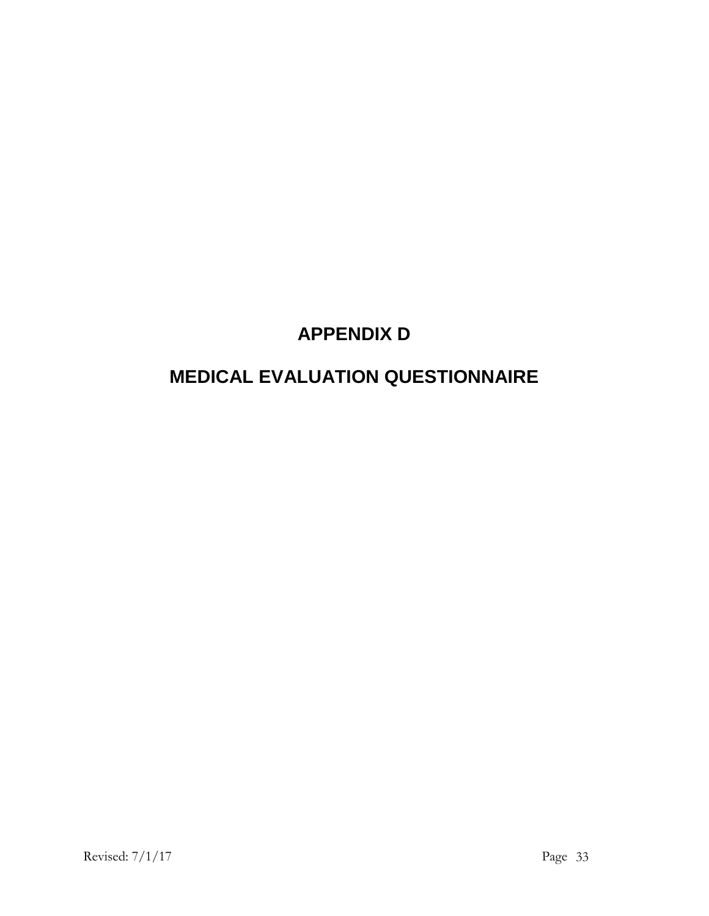# **APPENDIX D**

# **MEDICAL EVALUATION QUESTIONNAIRE**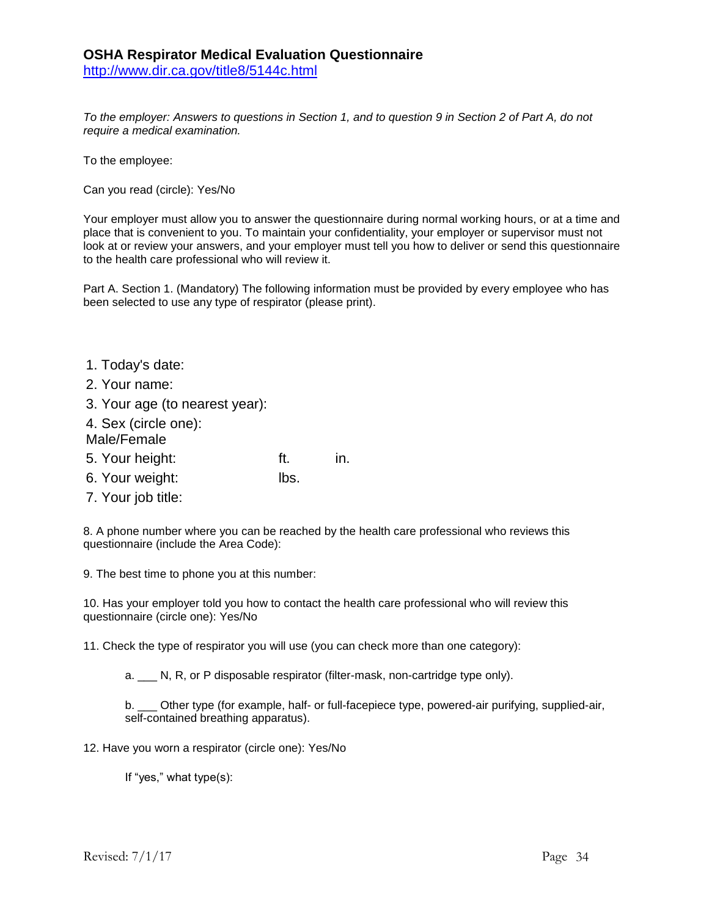*To the employer: Answers to questions in Section 1, and to question 9 in Section 2 of Part A, do not require a medical examination.* 

To the employee:

Can you read (circle): Yes/No

Your employer must allow you to answer the questionnaire during normal working hours, or at a time and place that is convenient to you. To maintain your confidentiality, your employer or supervisor must not look at or review your answers, and your employer must tell you how to deliver or send this questionnaire to the health care professional who will review it.

Part A. Section 1. (Mandatory) The following information must be provided by every employee who has been selected to use any type of respirator (please print).

- 1. Today's date:
- 2. Your name:
- 3. Your age (to nearest year):
- 4. Sex (circle one):
- Male/Female
- 5. Your height: ft. in.
- 6. Your weight: lbs.
- 7. Your job title:

8. A phone number where you can be reached by the health care professional who reviews this questionnaire (include the Area Code):

9. The best time to phone you at this number:

10. Has your employer told you how to contact the health care professional who will review this questionnaire (circle one): Yes/No

11. Check the type of respirator you will use (you can check more than one category):

a. N, R, or P disposable respirator (filter-mask, non-cartridge type only).

b. \_\_\_ Other type (for example, half- or full-facepiece type, powered-air purifying, supplied-air, self-contained breathing apparatus).

12. Have you worn a respirator (circle one): Yes/No

If "yes," what type(s):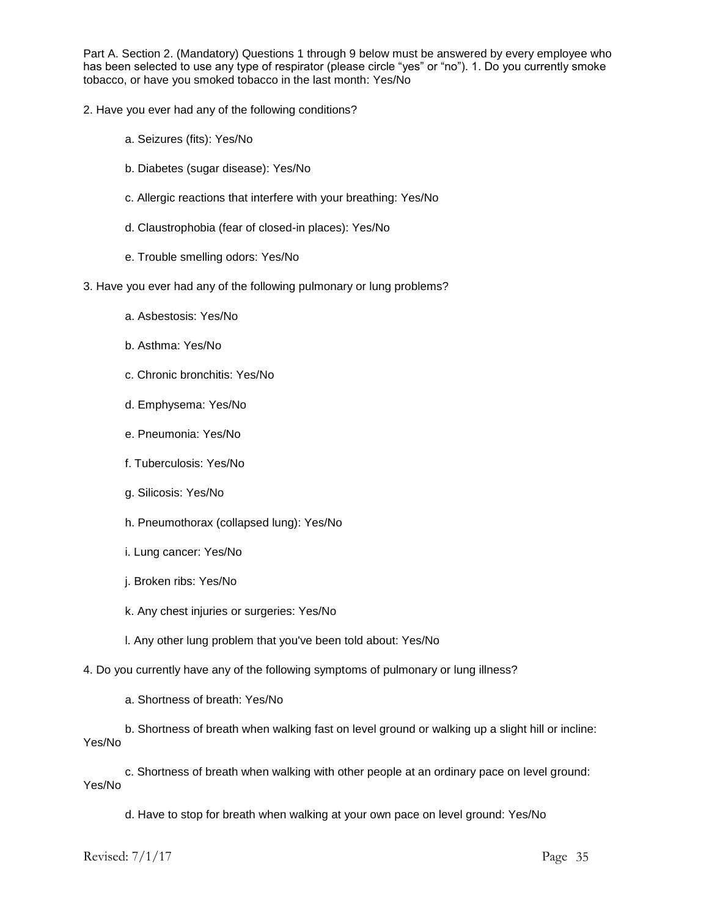Part A. Section 2. (Mandatory) Questions 1 through 9 below must be answered by every employee who has been selected to use any type of respirator (please circle "yes" or "no"). 1. Do you currently smoke tobacco, or have you smoked tobacco in the last month: Yes/No

- 2. Have you ever had any of the following conditions?
	- a. Seizures (fits): Yes/No
	- b. Diabetes (sugar disease): Yes/No
	- c. Allergic reactions that interfere with your breathing: Yes/No
	- d. Claustrophobia (fear of closed-in places): Yes/No
	- e. Trouble smelling odors: Yes/No
- 3. Have you ever had any of the following pulmonary or lung problems?
	- a. Asbestosis: Yes/No
	- b. Asthma: Yes/No
	- c. Chronic bronchitis: Yes/No
	- d. Emphysema: Yes/No
	- e. Pneumonia: Yes/No
	- f. Tuberculosis: Yes/No
	- g. Silicosis: Yes/No
	- h. Pneumothorax (collapsed lung): Yes/No
	- i. Lung cancer: Yes/No
	- j. Broken ribs: Yes/No
	- k. Any chest injuries or surgeries: Yes/No
	- l. Any other lung problem that you've been told about: Yes/No

4. Do you currently have any of the following symptoms of pulmonary or lung illness?

a. Shortness of breath: Yes/No

b. Shortness of breath when walking fast on level ground or walking up a slight hill or incline: Yes/No

c. Shortness of breath when walking with other people at an ordinary pace on level ground: Yes/No

d. Have to stop for breath when walking at your own pace on level ground: Yes/No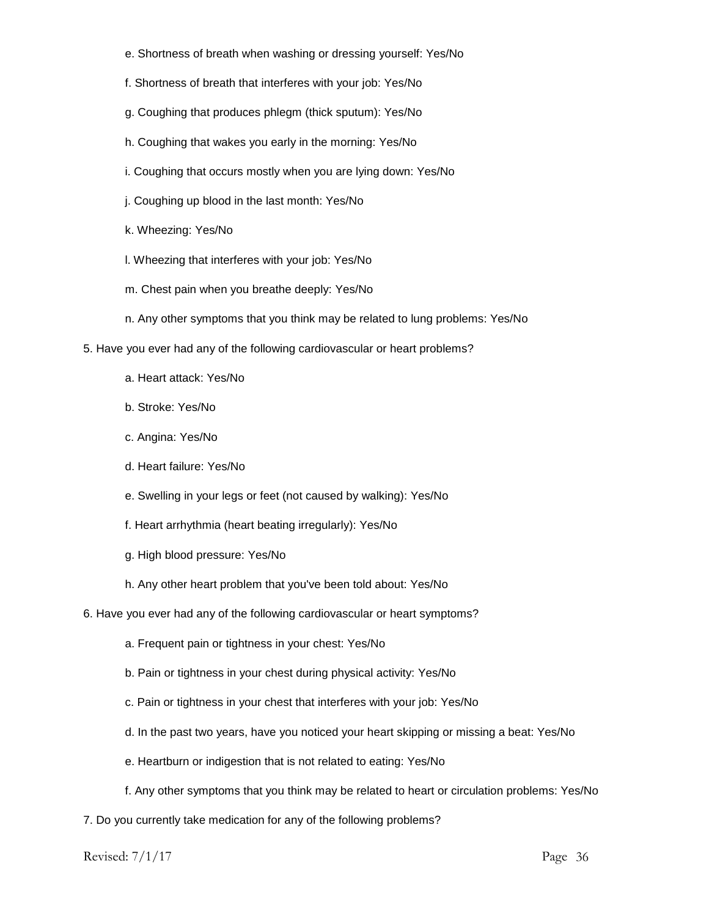- e. Shortness of breath when washing or dressing yourself: Yes/No
- f. Shortness of breath that interferes with your job: Yes/No
- g. Coughing that produces phlegm (thick sputum): Yes/No
- h. Coughing that wakes you early in the morning: Yes/No
- i. Coughing that occurs mostly when you are lying down: Yes/No
- j. Coughing up blood in the last month: Yes/No
- k. Wheezing: Yes/No
- l. Wheezing that interferes with your job: Yes/No
- m. Chest pain when you breathe deeply: Yes/No
- n. Any other symptoms that you think may be related to lung problems: Yes/No
- 5. Have you ever had any of the following cardiovascular or heart problems?
	- a. Heart attack: Yes/No
	- b. Stroke: Yes/No
	- c. Angina: Yes/No
	- d. Heart failure: Yes/No
	- e. Swelling in your legs or feet (not caused by walking): Yes/No
	- f. Heart arrhythmia (heart beating irregularly): Yes/No
	- g. High blood pressure: Yes/No
	- h. Any other heart problem that you've been told about: Yes/No
- 6. Have you ever had any of the following cardiovascular or heart symptoms?
	- a. Frequent pain or tightness in your chest: Yes/No
	- b. Pain or tightness in your chest during physical activity: Yes/No
	- c. Pain or tightness in your chest that interferes with your job: Yes/No
	- d. In the past two years, have you noticed your heart skipping or missing a beat: Yes/No
	- e. Heartburn or indigestion that is not related to eating: Yes/No
	- f. Any other symptoms that you think may be related to heart or circulation problems: Yes/No
- 7. Do you currently take medication for any of the following problems?

Revised:  $7/1/17$  Page 36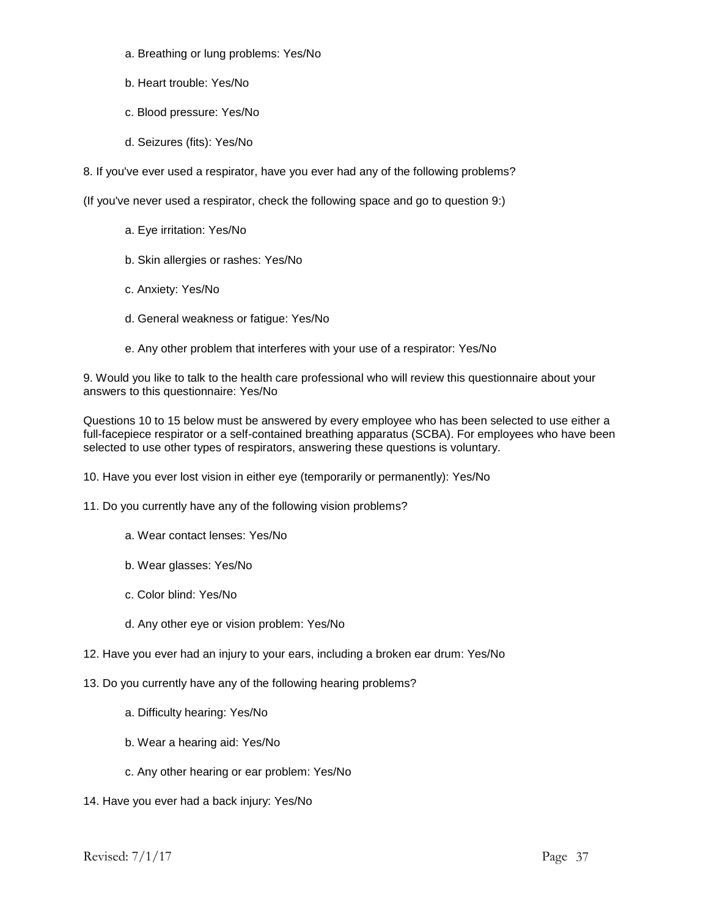- a. Breathing or lung problems: Yes/No
- b. Heart trouble: Yes/No
- c. Blood pressure: Yes/No
- d. Seizures (fits): Yes/No

8. If you've ever used a respirator, have you ever had any of the following problems?

(If you've never used a respirator, check the following space and go to question 9:)

- a. Eye irritation: Yes/No
- b. Skin allergies or rashes: Yes/No
- c. Anxiety: Yes/No
- d. General weakness or fatigue: Yes/No
- e. Any other problem that interferes with your use of a respirator: Yes/No

9. Would you like to talk to the health care professional who will review this questionnaire about your answers to this questionnaire: Yes/No

Questions 10 to 15 below must be answered by every employee who has been selected to use either a full-facepiece respirator or a self-contained breathing apparatus (SCBA). For employees who have been selected to use other types of respirators, answering these questions is voluntary.

10. Have you ever lost vision in either eye (temporarily or permanently): Yes/No

11. Do you currently have any of the following vision problems?

- a. Wear contact lenses: Yes/No
- b. Wear glasses: Yes/No
- c. Color blind: Yes/No
- d. Any other eye or vision problem: Yes/No
- 12. Have you ever had an injury to your ears, including a broken ear drum: Yes/No
- 13. Do you currently have any of the following hearing problems?
	- a. Difficulty hearing: Yes/No
	- b. Wear a hearing aid: Yes/No
	- c. Any other hearing or ear problem: Yes/No
- 14. Have you ever had a back injury: Yes/No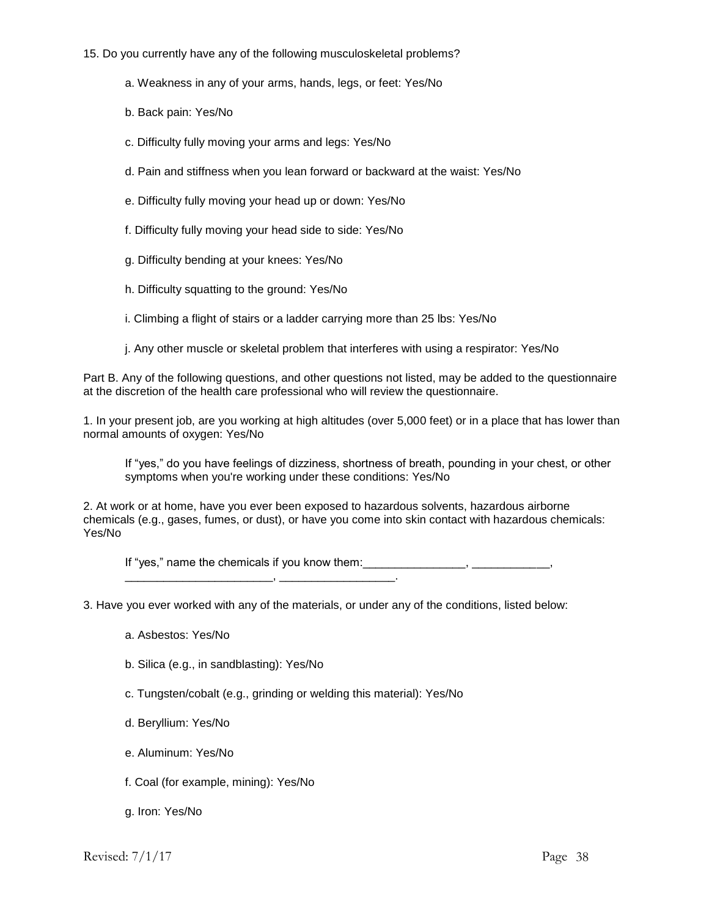- 15. Do you currently have any of the following musculoskeletal problems?
	- a. Weakness in any of your arms, hands, legs, or feet: Yes/No
	- b. Back pain: Yes/No
	- c. Difficulty fully moving your arms and legs: Yes/No
	- d. Pain and stiffness when you lean forward or backward at the waist: Yes/No
	- e. Difficulty fully moving your head up or down: Yes/No
	- f. Difficulty fully moving your head side to side: Yes/No
	- g. Difficulty bending at your knees: Yes/No
	- h. Difficulty squatting to the ground: Yes/No
	- i. Climbing a flight of stairs or a ladder carrying more than 25 lbs: Yes/No
	- j. Any other muscle or skeletal problem that interferes with using a respirator: Yes/No

Part B. Any of the following questions, and other questions not listed, may be added to the questionnaire at the discretion of the health care professional who will review the questionnaire.

1. In your present job, are you working at high altitudes (over 5,000 feet) or in a place that has lower than normal amounts of oxygen: Yes/No

If "yes," do you have feelings of dizziness, shortness of breath, pounding in your chest, or other symptoms when you're working under these conditions: Yes/No

2. At work or at home, have you ever been exposed to hazardous solvents, hazardous airborne chemicals (e.g., gases, fumes, or dust), or have you come into skin contact with hazardous chemicals: Yes/No

If "yes," name the chemicals if you know them: \_\_\_\_\_\_\_\_\_\_\_\_\_\_\_\_\_\_\_\_\_\_\_, \_\_\_\_\_\_\_\_\_\_\_\_\_\_\_\_\_\_.

3. Have you ever worked with any of the materials, or under any of the conditions, listed below:

- a. Asbestos: Yes/No
- b. Silica (e.g., in sandblasting): Yes/No
- c. Tungsten/cobalt (e.g., grinding or welding this material): Yes/No
- d. Beryllium: Yes/No
- e. Aluminum: Yes/No
- f. Coal (for example, mining): Yes/No
- g. Iron: Yes/No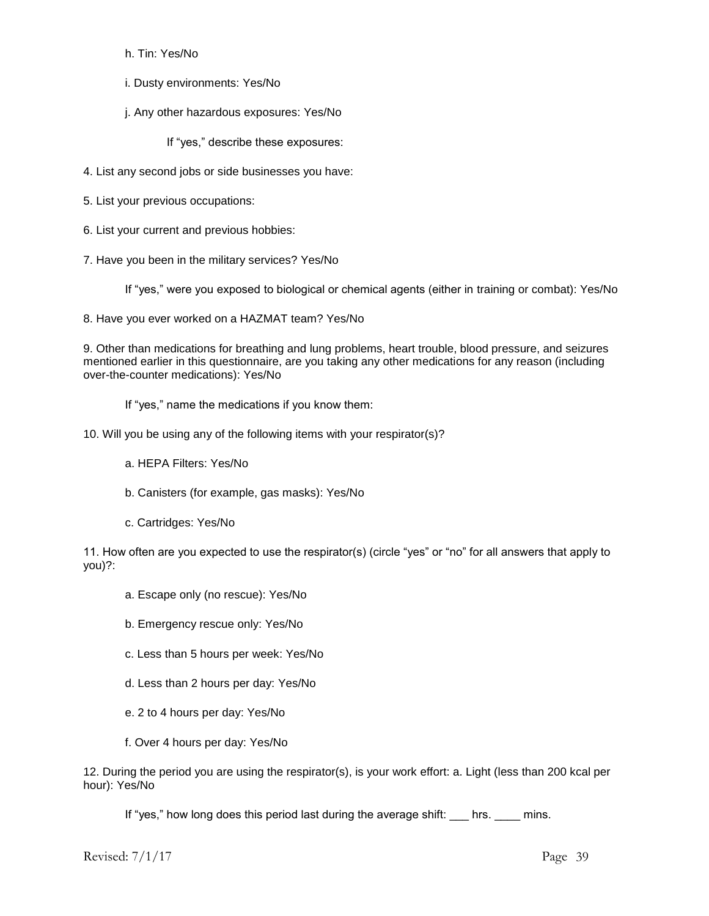h. Tin: Yes/No

i. Dusty environments: Yes/No

j. Any other hazardous exposures: Yes/No

If "yes," describe these exposures:

- 4. List any second jobs or side businesses you have:
- 5. List your previous occupations:
- 6. List your current and previous hobbies:
- 7. Have you been in the military services? Yes/No

If "yes," were you exposed to biological or chemical agents (either in training or combat): Yes/No

8. Have you ever worked on a HAZMAT team? Yes/No

9. Other than medications for breathing and lung problems, heart trouble, blood pressure, and seizures mentioned earlier in this questionnaire, are you taking any other medications for any reason (including over-the-counter medications): Yes/No

If "yes," name the medications if you know them:

- 10. Will you be using any of the following items with your respirator(s)?
	- a. HEPA Filters: Yes/No
	- b. Canisters (for example, gas masks): Yes/No
	- c. Cartridges: Yes/No

11. How often are you expected to use the respirator(s) (circle "yes" or "no" for all answers that apply to you)?:

- a. Escape only (no rescue): Yes/No
- b. Emergency rescue only: Yes/No
- c. Less than 5 hours per week: Yes/No
- d. Less than 2 hours per day: Yes/No
- e. 2 to 4 hours per day: Yes/No
- f. Over 4 hours per day: Yes/No

12. During the period you are using the respirator(s), is your work effort: a. Light (less than 200 kcal per hour): Yes/No

If "yes," how long does this period last during the average shift: hrs. \_\_\_\_ mins.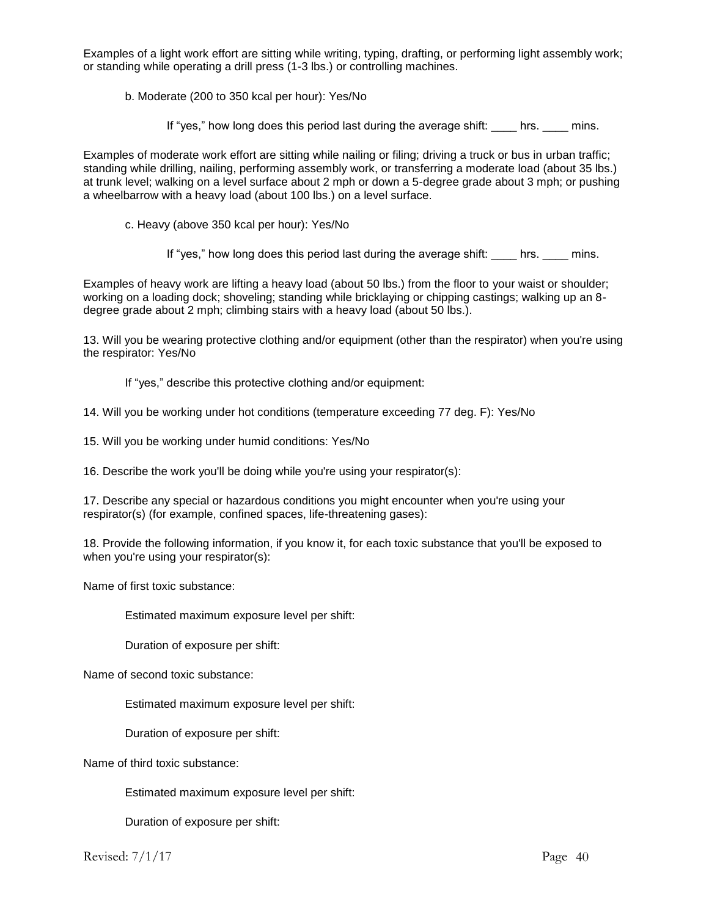Examples of a light work effort are sitting while writing, typing, drafting, or performing light assembly work; or standing while operating a drill press (1-3 lbs.) or controlling machines.

b. Moderate (200 to 350 kcal per hour): Yes/No

If "yes," how long does this period last during the average shift: \_\_\_\_ hrs. \_\_\_\_ mins.

Examples of moderate work effort are sitting while nailing or filing; driving a truck or bus in urban traffic; standing while drilling, nailing, performing assembly work, or transferring a moderate load (about 35 lbs.) at trunk level; walking on a level surface about 2 mph or down a 5-degree grade about 3 mph; or pushing a wheelbarrow with a heavy load (about 100 lbs.) on a level surface.

c. Heavy (above 350 kcal per hour): Yes/No

If "yes," how long does this period last during the average shift: \_\_\_\_ hrs. \_\_\_\_ mins.

Examples of heavy work are lifting a heavy load (about 50 lbs.) from the floor to your waist or shoulder; working on a loading dock; shoveling; standing while bricklaying or chipping castings; walking up an 8 degree grade about 2 mph; climbing stairs with a heavy load (about 50 lbs.).

13. Will you be wearing protective clothing and/or equipment (other than the respirator) when you're using the respirator: Yes/No

If "yes," describe this protective clothing and/or equipment:

- 14. Will you be working under hot conditions (temperature exceeding 77 deg. F): Yes/No
- 15. Will you be working under humid conditions: Yes/No

16. Describe the work you'll be doing while you're using your respirator(s):

17. Describe any special or hazardous conditions you might encounter when you're using your respirator(s) (for example, confined spaces, life-threatening gases):

18. Provide the following information, if you know it, for each toxic substance that you'll be exposed to when you're using your respirator(s):

Name of first toxic substance:

Estimated maximum exposure level per shift:

Duration of exposure per shift:

Name of second toxic substance:

Estimated maximum exposure level per shift:

Duration of exposure per shift:

Name of third toxic substance:

Estimated maximum exposure level per shift:

Duration of exposure per shift: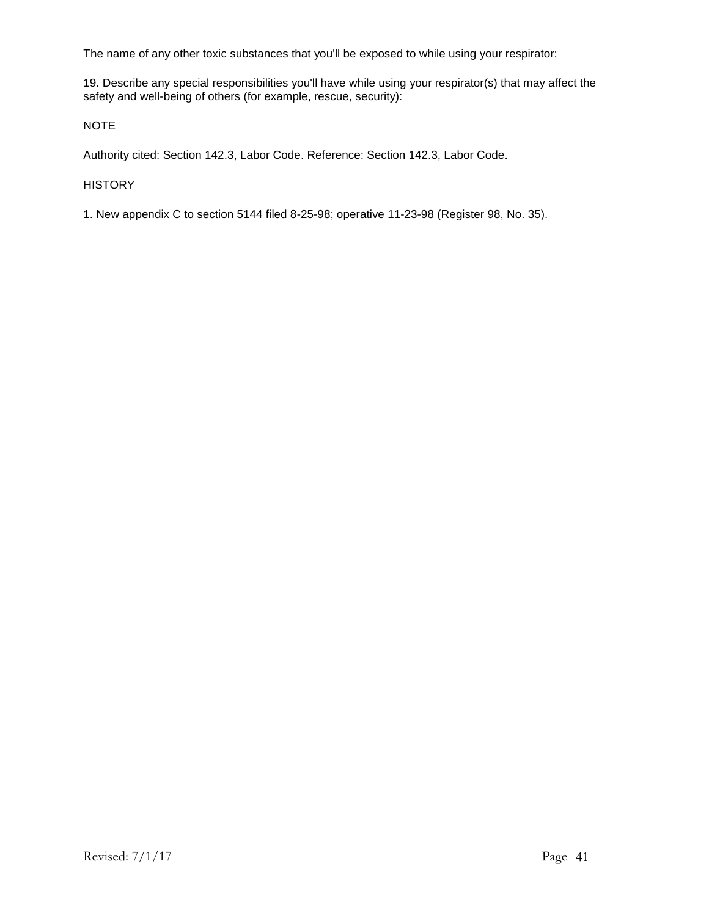The name of any other toxic substances that you'll be exposed to while using your respirator:

19. Describe any special responsibilities you'll have while using your respirator(s) that may affect the safety and well-being of others (for example, rescue, security):

NOTE

Authority cited: Section 142.3, Labor Code. Reference: Section 142.3, Labor Code.

#### **HISTORY**

1. New appendix C to section 5144 filed 8-25-98; operative 11-23-98 (Register 98, No. 35).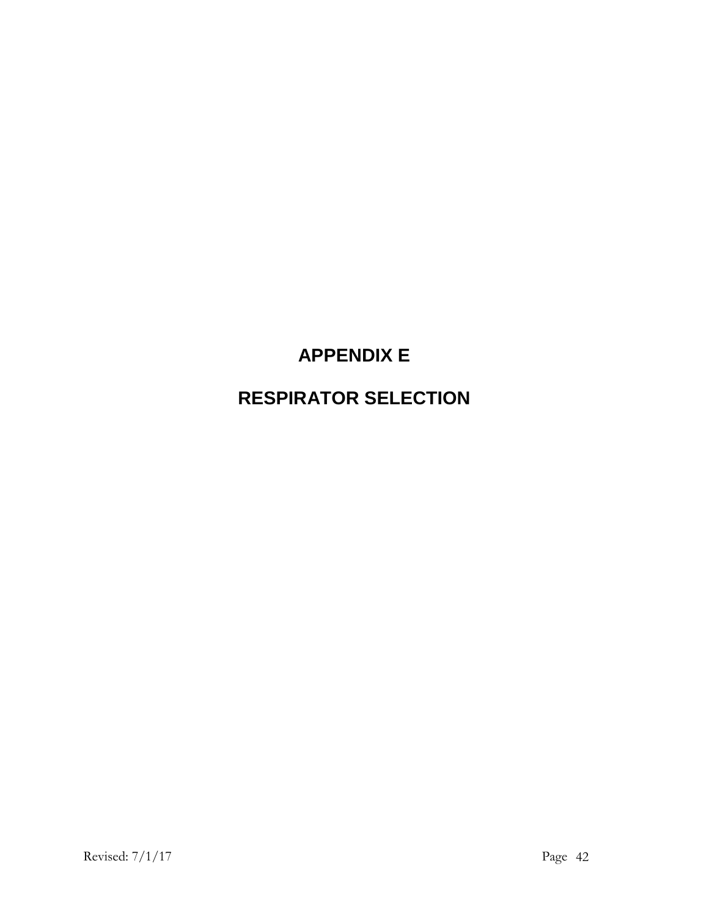# **APPENDIX E**

# **RESPIRATOR SELECTION**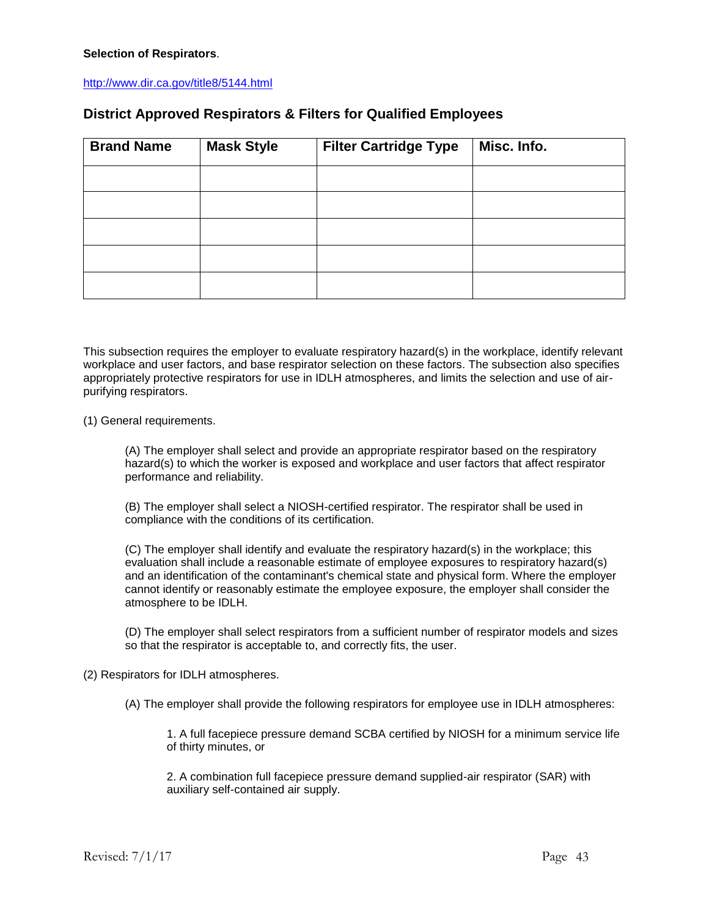#### <http://www.dir.ca.gov/title8/5144.html>

### **District Approved Respirators & Filters for Qualified Employees**

| <b>Brand Name</b> | <b>Mask Style</b> | <b>Filter Cartridge Type</b> | Misc. Info. |
|-------------------|-------------------|------------------------------|-------------|
|                   |                   |                              |             |
|                   |                   |                              |             |
|                   |                   |                              |             |
|                   |                   |                              |             |
|                   |                   |                              |             |

This subsection requires the employer to evaluate respiratory hazard(s) in the workplace, identify relevant workplace and user factors, and base respirator selection on these factors. The subsection also specifies appropriately protective respirators for use in IDLH atmospheres, and limits the selection and use of airpurifying respirators.

(1) General requirements.

(A) The employer shall select and provide an appropriate respirator based on the respiratory hazard(s) to which the worker is exposed and workplace and user factors that affect respirator performance and reliability.

(B) The employer shall select a NIOSH-certified respirator. The respirator shall be used in compliance with the conditions of its certification.

(C) The employer shall identify and evaluate the respiratory hazard(s) in the workplace; this evaluation shall include a reasonable estimate of employee exposures to respiratory hazard(s) and an identification of the contaminant's chemical state and physical form. Where the employer cannot identify or reasonably estimate the employee exposure, the employer shall consider the atmosphere to be IDLH.

(D) The employer shall select respirators from a sufficient number of respirator models and sizes so that the respirator is acceptable to, and correctly fits, the user.

(2) Respirators for IDLH atmospheres.

(A) The employer shall provide the following respirators for employee use in IDLH atmospheres:

1. A full facepiece pressure demand SCBA certified by NIOSH for a minimum service life of thirty minutes, or

2. A combination full facepiece pressure demand supplied-air respirator (SAR) with auxiliary self-contained air supply.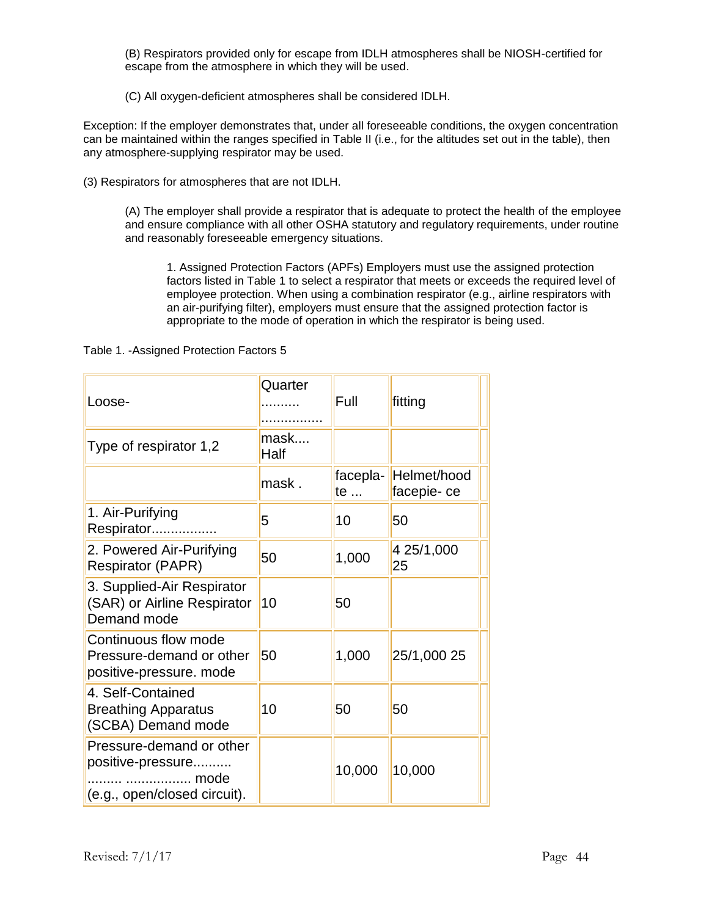(B) Respirators provided only for escape from IDLH atmospheres shall be NIOSH-certified for escape from the atmosphere in which they will be used.

(C) All oxygen-deficient atmospheres shall be considered IDLH.

Exception: If the employer demonstrates that, under all foreseeable conditions, the oxygen concentration can be maintained within the ranges specified in Table II (i.e., for the altitudes set out in the table), then any atmosphere-supplying respirator may be used.

(3) Respirators for atmospheres that are not IDLH.

(A) The employer shall provide a respirator that is adequate to protect the health of the employee and ensure compliance with all other OSHA statutory and regulatory requirements, under routine and reasonably foreseeable emergency situations.

1. Assigned Protection Factors (APFs) Employers must use the assigned protection factors listed in Table 1 to select a respirator that meets or exceeds the required level of employee protection. When using a combination respirator (e.g., airline respirators with an air-purifying filter), employers must ensure that the assigned protection factor is appropriate to the mode of operation in which the respirator is being used.

Table 1. -Assigned Protection Factors 5

| Loose-                                                                                | Quarter      | Full           | fitting                   |
|---------------------------------------------------------------------------------------|--------------|----------------|---------------------------|
| Type of respirator 1,2                                                                | mask<br>Half |                |                           |
|                                                                                       | mask.        | facepla-<br>te | Helmet/hood<br>facepie-ce |
| 1. Air-Purifying<br>Respirator                                                        | 5            | 10             | 50                        |
| 2. Powered Air-Purifying<br><b>Respirator (PAPR)</b>                                  | 50           | 1,000          | 4 25/1,000<br>25          |
| 3. Supplied-Air Respirator<br>(SAR) or Airline Respirator<br>Demand mode              | 10           | 50             |                           |
| Continuous flow mode<br>Pressure-demand or other<br>positive-pressure. mode           | 50           | 1,000          | 25/1,000 25               |
| 4. Self-Contained<br><b>Breathing Apparatus</b><br>(SCBA) Demand mode                 | 10           | 50             | 50                        |
| Pressure-demand or other<br>positive-pressure<br>mode<br>(e.g., open/closed circuit). |              | 10,000         | 10,000                    |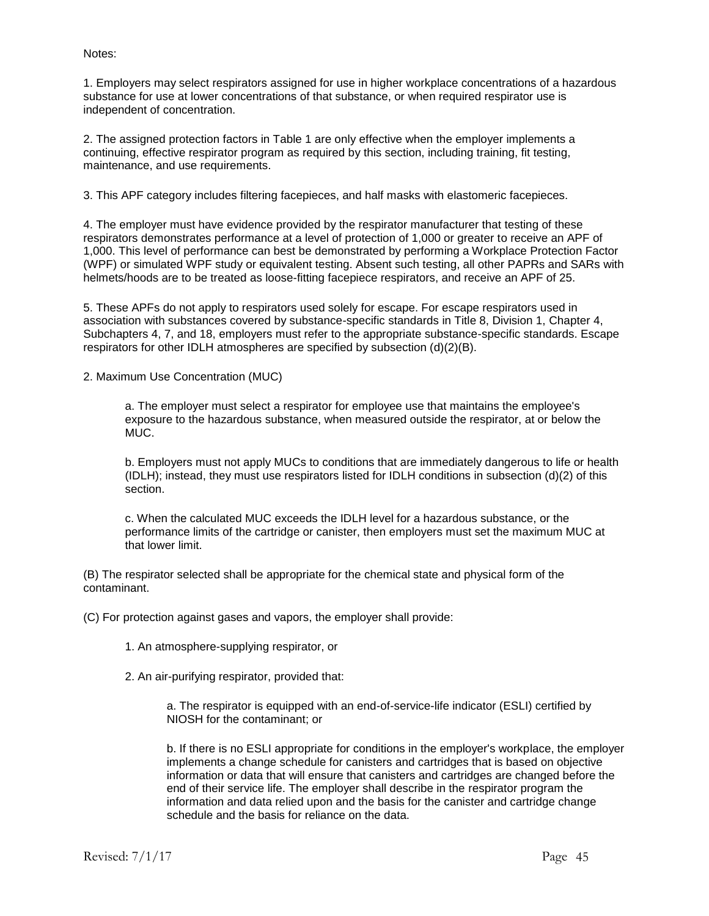#### Notes:

1. Employers may select respirators assigned for use in higher workplace concentrations of a hazardous substance for use at lower concentrations of that substance, or when required respirator use is independent of concentration.

2. The assigned protection factors in Table 1 are only effective when the employer implements a continuing, effective respirator program as required by this section, including training, fit testing, maintenance, and use requirements.

3. This APF category includes filtering facepieces, and half masks with elastomeric facepieces.

4. The employer must have evidence provided by the respirator manufacturer that testing of these respirators demonstrates performance at a level of protection of 1,000 or greater to receive an APF of 1,000. This level of performance can best be demonstrated by performing a Workplace Protection Factor (WPF) or simulated WPF study or equivalent testing. Absent such testing, all other PAPRs and SARs with helmets/hoods are to be treated as loose-fitting facepiece respirators, and receive an APF of 25.

5. These APFs do not apply to respirators used solely for escape. For escape respirators used in association with substances covered by substance-specific standards in Title 8, Division 1, Chapter 4, Subchapters 4, 7, and 18, employers must refer to the appropriate substance-specific standards. Escape respirators for other IDLH atmospheres are specified by subsection (d)(2)(B).

2. Maximum Use Concentration (MUC)

a. The employer must select a respirator for employee use that maintains the employee's exposure to the hazardous substance, when measured outside the respirator, at or below the MUC.

b. Employers must not apply MUCs to conditions that are immediately dangerous to life or health (IDLH); instead, they must use respirators listed for IDLH conditions in subsection (d)(2) of this section.

c. When the calculated MUC exceeds the IDLH level for a hazardous substance, or the performance limits of the cartridge or canister, then employers must set the maximum MUC at that lower limit.

(B) The respirator selected shall be appropriate for the chemical state and physical form of the contaminant.

(C) For protection against gases and vapors, the employer shall provide:

- 1. An atmosphere-supplying respirator, or
- 2. An air-purifying respirator, provided that:

a. The respirator is equipped with an end-of-service-life indicator (ESLI) certified by NIOSH for the contaminant; or

b. If there is no ESLI appropriate for conditions in the employer's workplace, the employer implements a change schedule for canisters and cartridges that is based on objective information or data that will ensure that canisters and cartridges are changed before the end of their service life. The employer shall describe in the respirator program the information and data relied upon and the basis for the canister and cartridge change schedule and the basis for reliance on the data.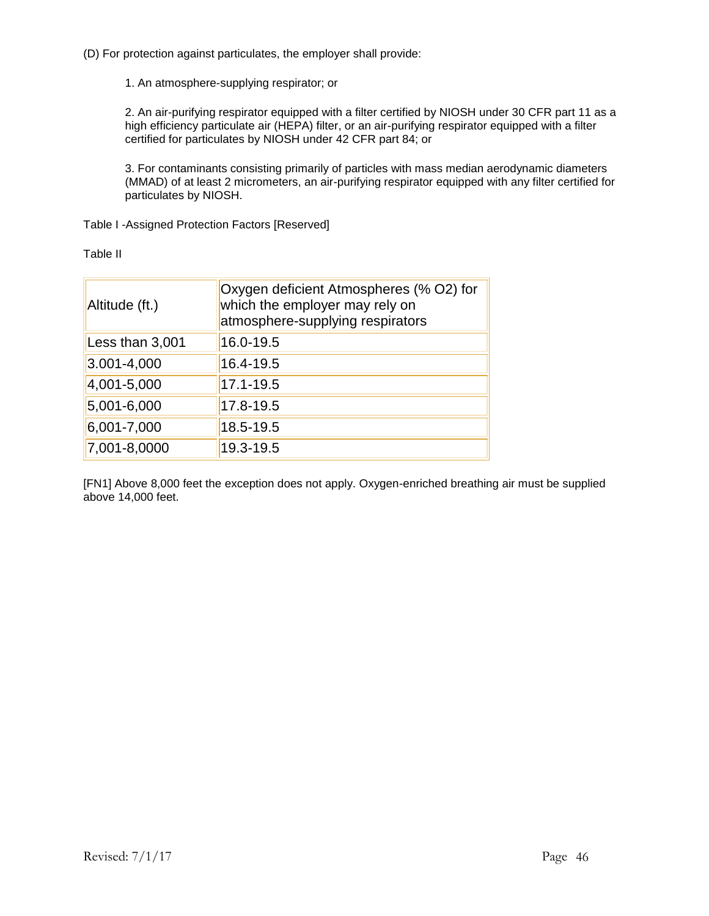(D) For protection against particulates, the employer shall provide:

1. An atmosphere-supplying respirator; or

2. An air-purifying respirator equipped with a filter certified by NIOSH under 30 CFR part 11 as a high efficiency particulate air (HEPA) filter, or an air-purifying respirator equipped with a filter certified for particulates by NIOSH under 42 CFR part 84; or

3. For contaminants consisting primarily of particles with mass median aerodynamic diameters (MMAD) of at least 2 micrometers, an air-purifying respirator equipped with any filter certified for particulates by NIOSH.

Table I -Assigned Protection Factors [Reserved]

Table II

| Altitude (ft.)  | Oxygen deficient Atmospheres (% O2) for<br>which the employer may rely on<br>atmosphere-supplying respirators |
|-----------------|---------------------------------------------------------------------------------------------------------------|
| Less than 3,001 | 16.0-19.5                                                                                                     |
| $3.001 - 4,000$ | 16.4-19.5                                                                                                     |
| 4,001-5,000     | 17.1-19.5                                                                                                     |
| 5,001-6,000     | 17.8-19.5                                                                                                     |
| $6,001 - 7,000$ | 18.5-19.5                                                                                                     |
| 7,001-8,0000    | 19.3-19.5                                                                                                     |

[FN1] Above 8,000 feet the exception does not apply. Oxygen-enriched breathing air must be supplied above 14,000 feet.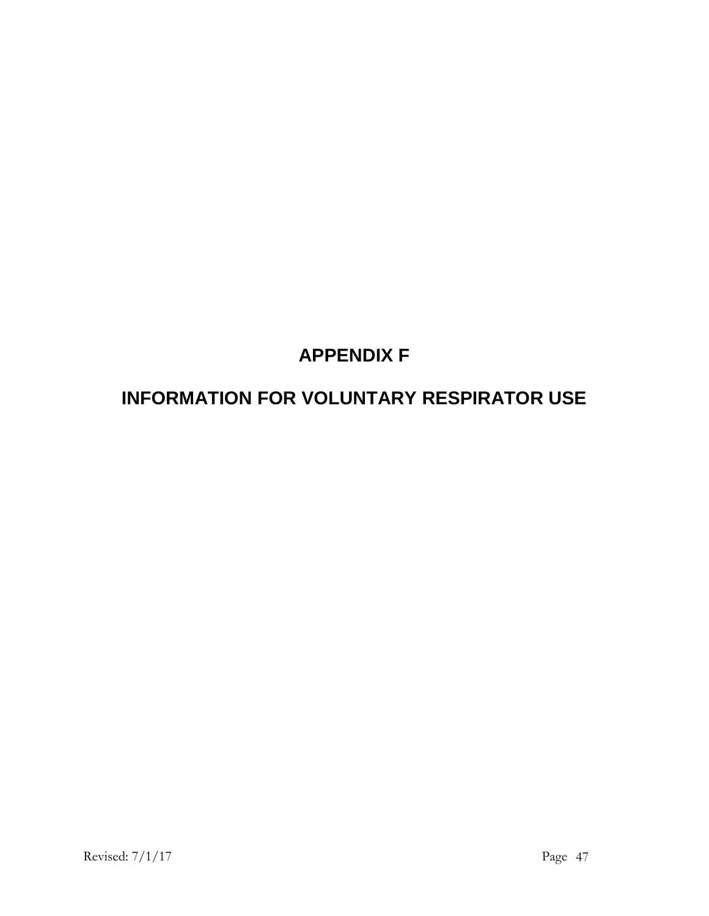# **APPENDIX F**

# **INFORMATION FOR VOLUNTARY RESPIRATOR USE**